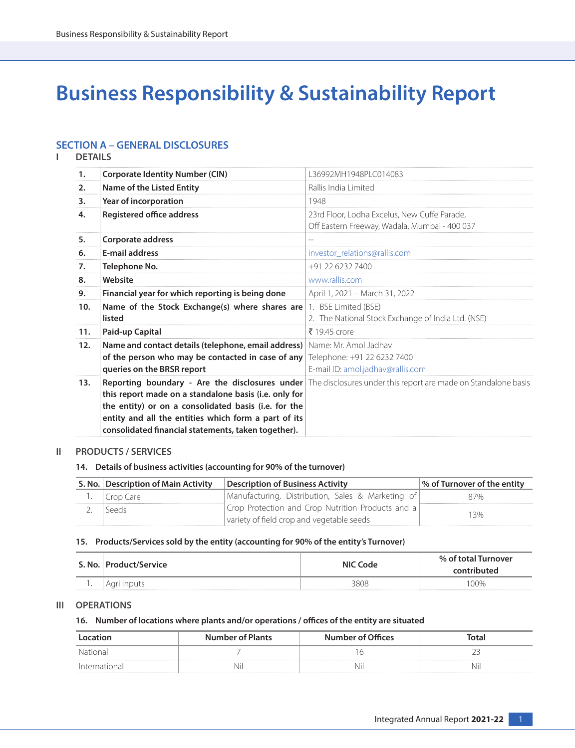# **Business Responsibility & Sustainability Report**

## **SECTION A – GENERAL DISCLOSURES**

**I DETAILS**

| 1.  | <b>Corporate Identity Number (CIN)</b>                | 136992MH1948PLC014083                                                                                                |
|-----|-------------------------------------------------------|----------------------------------------------------------------------------------------------------------------------|
| 2.  | Name of the Listed Entity                             | Rallis India Limited                                                                                                 |
| 3.  | Year of incorporation                                 | 1948                                                                                                                 |
| 4.  | <b>Registered office address</b>                      | 23rd Floor, Lodha Excelus, New Cuffe Parade,                                                                         |
|     |                                                       | Off Eastern Freeway, Wadala, Mumbai - 400 037                                                                        |
| 5.  | Corporate address                                     | $\overline{\phantom{a}}$                                                                                             |
| 6.  | <b>E-mail address</b>                                 | investor_relations@rallis.com                                                                                        |
| 7.  | Telephone No.                                         | +91 22 6232 7400                                                                                                     |
| 8.  | Website                                               | www.rallis.com                                                                                                       |
| 9.  | Financial year for which reporting is being done      | April 1, 2021 - March 31, 2022                                                                                       |
| 10. | Name of the Stock Exchange(s) where shares are        | 1. BSE Limited (BSE)                                                                                                 |
|     | listed                                                | 2. The National Stock Exchange of India Ltd. (NSE)                                                                   |
| 11. | Paid-up Capital                                       | ₹ 19.45 crore                                                                                                        |
| 12. | Name and contact details (telephone, email address)   | Name: Mr. Amol Jadhay                                                                                                |
|     | of the person who may be contacted in case of any     | Telephone: +91 22 6232 7400                                                                                          |
|     | queries on the BRSR report                            | E-mail ID: amol.jadhav@rallis.com                                                                                    |
| 13. |                                                       | <b>Reporting boundary - Are the disclosures under</b> The disclosures under this report are made on Standalone basis |
|     | this report made on a standalone basis (i.e. only for |                                                                                                                      |
|     | the entity) or on a consolidated basis (i.e. for the  |                                                                                                                      |
|     | entity and all the entities which form a part of its  |                                                                                                                      |
|     | consolidated financial statements, taken together).   |                                                                                                                      |

## **II PRODUCTS / SERVICES**

## **14. Details of business activities (accounting for 90% of the turnover)**

| S. No.   Description of Main Activity | <b>Description of Business Activity</b>           | % of Turnover of the entity |
|---------------------------------------|---------------------------------------------------|-----------------------------|
| Crop Care                             | Manufacturing, Distribution, Sales & Marketing of | 87%                         |
| Seeds                                 | Crop Protection and Crop Nutrition Products and a |                             |
|                                       | variety of field crop and vegetable seeds         | 3%                          |

## **15. Products/Services sold by the entity (accounting for 90% of the entity's Turnover)**

| S. No. | <b>Product/Service</b> | ' Code<br>NIC | % of total Turnover |  |
|--------|------------------------|---------------|---------------------|--|
| . .    | ' Agri Inputs          |               | $00\%$              |  |

## **III OPERATIONS**

#### **16. Number of locations where plants and/or operations / offices of the entity are situated**

|                                    | <b>Number of Plants</b> | <b>Number of Offices</b> | Total |  |
|------------------------------------|-------------------------|--------------------------|-------|--|
|                                    |                         |                          |       |  |
| ---------------------------------- | 'NI.                    |                          | Nh    |  |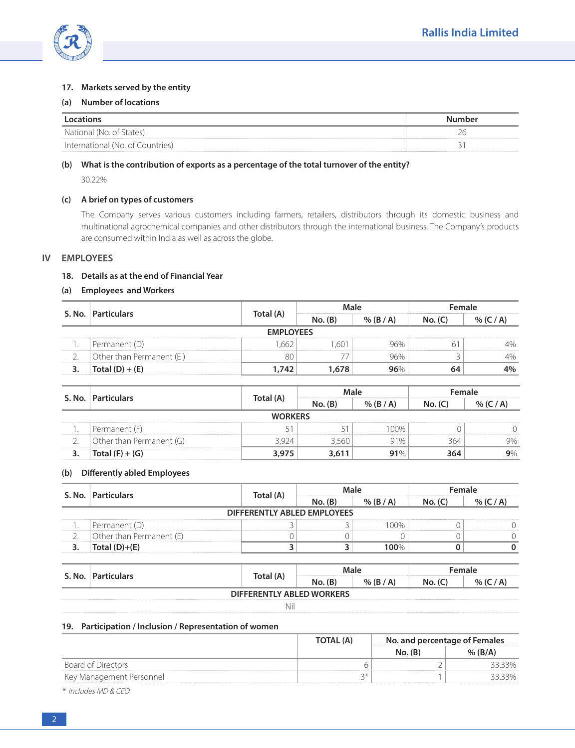

## **17. Markets served by the entity**

#### **(a) Number of locations**

|                                  | umber |
|----------------------------------|-------|
| National (No. of States)         |       |
| International (No. of Countries) |       |

## **(b) What is the contribution of exports as a percentage of the total turnover of the entity?**

30.22%

## **(c) A brief on types of customers**

 The Company serves various customers including farmers, retailers, distributors through its domestic business and multinational agrochemical companies and other distributors through the international business. The Company's products are consumed within India as well as across the globe.

#### **IV EMPLOYEES**

## **18. Details as at the end of Financial Year**

## **(a) Employees and Workers**

| S. No.           | <b>Particulars</b>       |          |         |  | -emale |  |  |  |
|------------------|--------------------------|----------|---------|--|--------|--|--|--|
|                  |                          | וA) וה†נ | No. (B) |  |        |  |  |  |
| <b>EMPLOYEES</b> |                          |          |         |  |        |  |  |  |
|                  | Permanent (D)            |          |         |  |        |  |  |  |
|                  | Other than Permanent (E) |          |         |  |        |  |  |  |
|                  |                          | 743      |         |  |        |  |  |  |

|                | S. No.   Particulars     | Total (A) |         |             |     |    |  |  |  |
|----------------|--------------------------|-----------|---------|-------------|-----|----|--|--|--|
|                |                          |           | No. (B) | $%$ (B / A) |     |    |  |  |  |
| <b>WORKFRS</b> |                          |           |         |             |     |    |  |  |  |
|                | Permanent (F)            |           |         | ገበ%         |     |    |  |  |  |
|                | Other than Permanent (G) |           |         |             | 364 | 9% |  |  |  |
|                | Total $(F) + (G)$        |           |         |             | 364 |    |  |  |  |

## **(b) Differently abled Employees**

|                             | S. No.   Particulars     | Total (A) |         |             | Female |  |  |  |
|-----------------------------|--------------------------|-----------|---------|-------------|--------|--|--|--|
|                             |                          |           | No. (B) | $%$ (B / A) |        |  |  |  |
| DIFFERENTLY ABLED EMPLOYEES |                          |           |         |             |        |  |  |  |
|                             | Permanent (D)            |           |         | ገበ%         |        |  |  |  |
|                             | Other than Permanent (E) |           |         |             |        |  |  |  |
|                             | $Total (D)+ (F)$         |           |         | l OO%       |        |  |  |  |

## **S. No.** Particulars **CONSISTER TOTAL CONSISTENT CONSISTENCE Male CONSISTER FEMALE No. (B) % (B / A) No. (C) % (C / A) DIFFERENTLY ABLED WORKERS** Nil

#### **19. Participation / Inclusion / Representation of women**

|                          | TOTAL (A) | No. and percentage of Females |  |
|--------------------------|-----------|-------------------------------|--|
|                          |           | <b>No. (B.</b>                |  |
| Board of Directors       |           |                               |  |
| Key Management Personnel |           |                               |  |

\* Includes MD & CEO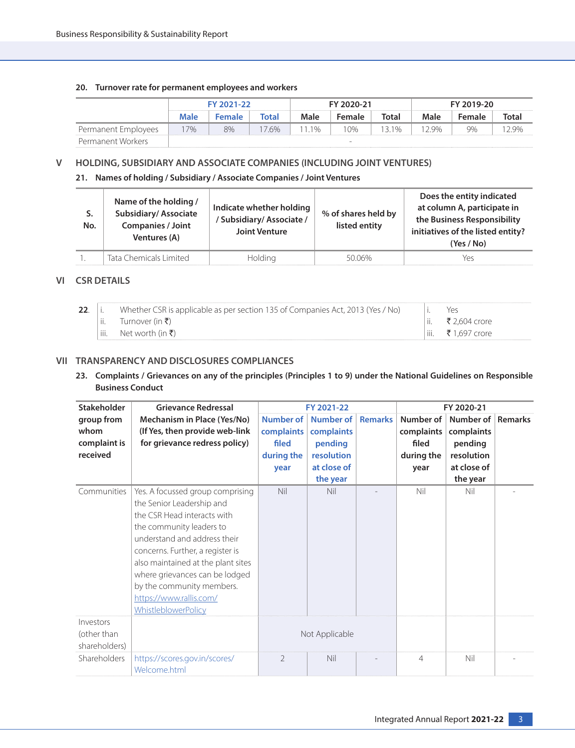## **20. Turnover rate for permanent employees and workers**

|                     | FY 2021-22 |        | FY 2020-21 |       |        | FY 2019-20 |        |        |       |
|---------------------|------------|--------|------------|-------|--------|------------|--------|--------|-------|
|                     | Male       | Female | Total      | Male  | Female | Total      | Male   | Female | Total |
| Permanent Employees | $17\%$     | 8%     | 76%        | 11 1% | 10%    | 131%       | 1 2 ዓ% | 9%     | 29%   |
| Permanent Workers   |            |        |            |       | -      |            |        |        |       |

## **V HOLDING, SUBSIDIARY AND ASSOCIATE COMPANIES (INCLUDING JOINT VENTURES)**

**21. Names of holding / Subsidiary / Associate Companies / Joint Ventures**

| No. | Name of the holding /<br><b>Subsidiary/Associate</b><br><b>Companies / Joint</b><br>Ventures (A) | Indicate whether holding<br>/ Subsidiary/ Associate /<br><b>Joint Venture</b> | % of shares held by<br>listed entity | Does the entity indicated<br>at column A, participate in<br>the Business Responsibility<br>initiatives of the listed entity?<br>(Yes / No) |
|-----|--------------------------------------------------------------------------------------------------|-------------------------------------------------------------------------------|--------------------------------------|--------------------------------------------------------------------------------------------------------------------------------------------|
|     | Tata Chemicals Limited                                                                           | Holding                                                                       | 5006%                                | Yes                                                                                                                                        |

## **VI CSR DETAILS**

| 22 |          | Whether CSR is applicable as per section 135 of Companies Act, 2013 (Yes / No) |      | YAS           |
|----|----------|--------------------------------------------------------------------------------|------|---------------|
|    | $\cdots$ | lurnover (in $\bar{x}$ )                                                       |      | ₹ 2.604 crore |
|    |          | Net worth (in $\bar{\mathbf{z}}$ )                                             | iii. | .697 crore    |

## **VII TRANSPARENCY AND DISCLOSURES COMPLIANCES**

**23. Complaints / Grievances on any of the principles (Principles 1 to 9) under the National Guidelines on Responsible Business Conduct** 

| <b>Stakeholder</b>                        | <b>Grievance Redressal</b>                                                                                                                                                                                                                                                                                                                                 |                | FY 2021-22        |                |                | FY 2020-21  |                |
|-------------------------------------------|------------------------------------------------------------------------------------------------------------------------------------------------------------------------------------------------------------------------------------------------------------------------------------------------------------------------------------------------------------|----------------|-------------------|----------------|----------------|-------------|----------------|
| group from                                | Mechanism in Place (Yes/No)                                                                                                                                                                                                                                                                                                                                | Number of      | Number of         | <b>Remarks</b> | Number of      | Number of   | <b>Remarks</b> |
| whom                                      | (If Yes, then provide web-link                                                                                                                                                                                                                                                                                                                             | complaints     | complaints        |                | complaints     | complaints  |                |
| complaint is                              | for grievance redress policy)                                                                                                                                                                                                                                                                                                                              | filed          | pending           |                | filed          | pending     |                |
| received                                  |                                                                                                                                                                                                                                                                                                                                                            | during the     | <b>resolution</b> |                | during the     | resolution  |                |
|                                           |                                                                                                                                                                                                                                                                                                                                                            | year           | at close of       |                | year           | at close of |                |
|                                           |                                                                                                                                                                                                                                                                                                                                                            |                | the year          |                |                | the year    |                |
| Communities                               | Yes. A focussed group comprising<br>the Senior Leadership and<br>the CSR Head interacts with<br>the community leaders to<br>understand and address their<br>concerns. Further, a register is<br>also maintained at the plant sites<br>where grievances can be lodged<br>by the community members.<br>https://www.rallis.com/<br><b>WhistleblowerPolicy</b> | <b>Nil</b>     | Nil               |                | Nil            | Nil         |                |
| Investors<br>(other than<br>shareholders) |                                                                                                                                                                                                                                                                                                                                                            |                | Not Applicable    |                |                |             |                |
| Shareholders                              | https://scores.gov.in/scores/<br>Welcome.html                                                                                                                                                                                                                                                                                                              | $\overline{2}$ | Nil               |                | $\overline{4}$ | Nil         |                |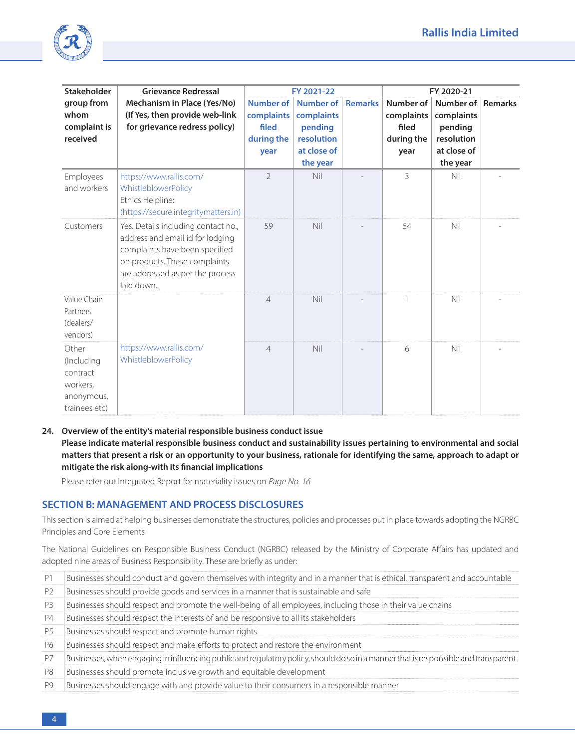

| <b>Stakeholder</b>                                                         | <b>Grievance Redressal</b>                                                                                                                                                                   |                                                        | FY 2021-22                                                                                |                | FY 2020-21                                             |                                                                                     |  |  |  |  |
|----------------------------------------------------------------------------|----------------------------------------------------------------------------------------------------------------------------------------------------------------------------------------------|--------------------------------------------------------|-------------------------------------------------------------------------------------------|----------------|--------------------------------------------------------|-------------------------------------------------------------------------------------|--|--|--|--|
| group from<br>whom<br>complaint is<br>received                             | Mechanism in Place (Yes/No)<br>(If Yes, then provide web-link<br>for grievance redress policy)                                                                                               | Number of<br>complaints<br>filed<br>during the<br>year | <b>Number of</b><br>complaints<br>pending<br><b>resolution</b><br>at close of<br>the year | <b>Remarks</b> | Number of<br>complaints<br>filed<br>during the<br>year | Number of Remarks<br>complaints<br>pending<br>resolution<br>at close of<br>the year |  |  |  |  |
| Employees<br>and workers                                                   | https://www.rallis.com/<br>WhistleblowerPolicy<br>Ethics Helpline:<br>(https://secure.integritymatters.in)                                                                                   | $\mathfrak{D}$                                         | Nil                                                                                       |                | 3                                                      | Nil                                                                                 |  |  |  |  |
| Customers                                                                  | Yes. Details including contact no.,<br>address and email id for lodging<br>complaints have been specified<br>on products. These complaints<br>are addressed as per the process<br>laid down. | 59                                                     | Nil                                                                                       |                | 54                                                     | Nil                                                                                 |  |  |  |  |
| Value Chain<br>Partners<br>(dealers/<br>vendors)                           |                                                                                                                                                                                              | $\overline{4}$                                         | Nil                                                                                       |                | 1                                                      | Nil                                                                                 |  |  |  |  |
| Other<br>(Including<br>contract<br>workers,<br>anonymous,<br>trainees etc) | https://www.rallis.com/<br>WhistleblowerPolicy                                                                                                                                               | $\overline{4}$                                         | Nil                                                                                       |                | 6                                                      | Nil                                                                                 |  |  |  |  |

#### **24. Overview of the entity's material responsible business conduct issue**

 **Please indicate material responsible business conduct and sustainability issues pertaining to environmental and social matters that present a risk or an opportunity to your business, rationale for identifying the same, approach to adapt or mitigate the risk along-with its financial implications**

Please refer our Integrated Report for materiality issues on Page No. 16

## **SECTION B: MANAGEMENT AND PROCESS DISCLOSURES**

This section is aimed at helping businesses demonstrate the structures, policies and processes put in place towards adopting the NGRBC Principles and Core Elements

The National Guidelines on Responsible Business Conduct (NGRBC) released by the Ministry of Corporate Affairs has updated and adopted nine areas of Business Responsibility. These are briefly as under:

| P1             | Businesses should conduct and govern themselves with integrity and in a manner that is ethical, transparent and accountable         |
|----------------|-------------------------------------------------------------------------------------------------------------------------------------|
| P <sub>2</sub> | Businesses should provide goods and services in a manner that is sustainable and safe                                               |
| P <sub>3</sub> | Businesses should respect and promote the well-being of all employees, including those in their value chains                        |
| P4             | Businesses should respect the interests of and be responsive to all its stakeholders                                                |
| P <sub>5</sub> | Businesses should respect and promote human rights                                                                                  |
| P6             | Businesses should respect and make efforts to protect and restore the environment                                                   |
| P7             | Businesses, when engaging in influencing public and regulatory policy, should do so in a manner that is responsible and transparent |
| P <sub>8</sub> | Businesses should promote inclusive growth and equitable development                                                                |
| P9             | Businesses should engage with and provide value to their consumers in a responsible manner                                          |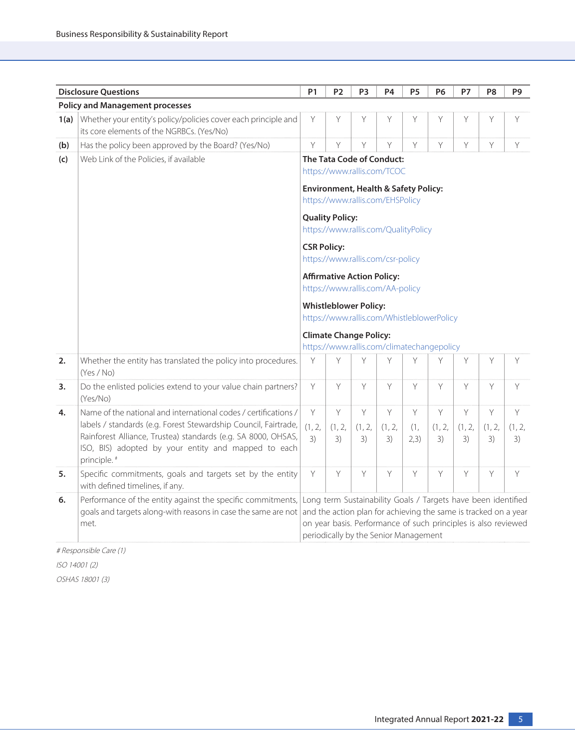|      | <b>Disclosure Questions</b>                                                                                                                                                                                                                                                           | P <sub>1</sub>                                                                                                                                  | P <sub>2</sub>       | P3                                    | P4                   | P <sub>5</sub>   | <b>P6</b>                                                                                                                                                                                          | <b>P7</b>            | P <sub>8</sub>       | P9                |  |  |  |
|------|---------------------------------------------------------------------------------------------------------------------------------------------------------------------------------------------------------------------------------------------------------------------------------------|-------------------------------------------------------------------------------------------------------------------------------------------------|----------------------|---------------------------------------|----------------------|------------------|----------------------------------------------------------------------------------------------------------------------------------------------------------------------------------------------------|----------------------|----------------------|-------------------|--|--|--|
|      | <b>Policy and Management processes</b>                                                                                                                                                                                                                                                |                                                                                                                                                 |                      |                                       |                      |                  |                                                                                                                                                                                                    |                      |                      |                   |  |  |  |
| 1(a) | Whether your entity's policy/policies cover each principle and<br>its core elements of the NGRBCs. (Yes/No)                                                                                                                                                                           | Y                                                                                                                                               | Y                    | Y                                     | Υ                    | Y                | Y                                                                                                                                                                                                  | Y                    | Y                    | Y                 |  |  |  |
| (b)  | Has the policy been approved by the Board? (Yes/No)                                                                                                                                                                                                                                   | Y                                                                                                                                               | Y                    | Y                                     | Y                    | Y                | Y                                                                                                                                                                                                  | Y                    | Y                    | Y                 |  |  |  |
| (c)  | Web Link of the Policies, if available                                                                                                                                                                                                                                                | The Tata Code of Conduct:<br>https://www.rallis.com/TCOC<br><b>Environment, Health &amp; Safety Policy:</b><br>https://www.rallis.com/EHSPolicy |                      |                                       |                      |                  |                                                                                                                                                                                                    |                      |                      |                   |  |  |  |
|      |                                                                                                                                                                                                                                                                                       | <b>Quality Policy:</b><br>https://www.rallis.com/QualityPolicy                                                                                  |                      |                                       |                      |                  |                                                                                                                                                                                                    |                      |                      |                   |  |  |  |
|      |                                                                                                                                                                                                                                                                                       | <b>CSR Policy:</b><br>https://www.rallis.com/csr-policy                                                                                         |                      |                                       |                      |                  |                                                                                                                                                                                                    |                      |                      |                   |  |  |  |
|      |                                                                                                                                                                                                                                                                                       | <b>Affirmative Action Policy:</b><br>https://www.rallis.com/AA-policy                                                                           |                      |                                       |                      |                  |                                                                                                                                                                                                    |                      |                      |                   |  |  |  |
|      |                                                                                                                                                                                                                                                                                       |                                                                                                                                                 |                      | <b>Whistleblower Policy:</b>          |                      |                  | https://www.rallis.com/WhistleblowerPolicy                                                                                                                                                         |                      |                      |                   |  |  |  |
|      |                                                                                                                                                                                                                                                                                       | <b>Climate Change Policy:</b><br>https://www.rallis.com/climatechangepolicy                                                                     |                      |                                       |                      |                  |                                                                                                                                                                                                    |                      |                      |                   |  |  |  |
| 2.   | Whether the entity has translated the policy into procedures.<br>(Yes / No)                                                                                                                                                                                                           | Y                                                                                                                                               | Y                    | Y                                     | Y                    | Y                | Y                                                                                                                                                                                                  | Y                    | Y                    | Y                 |  |  |  |
| 3.   | Do the enlisted policies extend to your value chain partners?<br>(Yes/No)                                                                                                                                                                                                             | Y                                                                                                                                               | Y                    | Y                                     | Y                    | Y                | Y                                                                                                                                                                                                  | Y                    | Y                    | Y                 |  |  |  |
| 4.   | Name of the national and international codes / certifications /<br>labels / standards (e.g. Forest Stewardship Council, Fairtrade,<br>Rainforest Alliance, Trustea) standards (e.g. SA 8000, OHSAS,<br>ISO, BIS) adopted by your entity and mapped to each<br>principle. <sup>#</sup> | Y<br>(1, 2, 1)<br>3)                                                                                                                            | Y<br>(1, 2, 1)<br>3) | Y<br>(1, 2, 1)<br>3)                  | Y<br>(1, 2, 1)<br>3) | Y<br>(1,<br>2,3) | Y<br>(1, 2, 1)<br>3)                                                                                                                                                                               | Y<br>(1, 2, 1)<br>3) | Y<br>(1, 2, 1)<br>3) | Y<br>(1, 2,<br>3) |  |  |  |
| 5.   | Specific commitments, goals and targets set by the entity<br>with defined timelines, if any.                                                                                                                                                                                          | Y                                                                                                                                               | Y                    | Y                                     | Y                    | Y                | Y                                                                                                                                                                                                  | Y                    | Y                    | Y                 |  |  |  |
| 6.   | Performance of the entity against the specific commitments,<br>goals and targets along-with reasons in case the same are not<br>met.                                                                                                                                                  |                                                                                                                                                 |                      | periodically by the Senior Management |                      |                  | Long term Sustainability Goals / Targets have been identified<br>and the action plan for achieving the same is tracked on a year<br>on year basis. Performance of such principles is also reviewed |                      |                      |                   |  |  |  |

# Responsible Care (1)

ISO 14001 (2)

OSHAS 18001 (3)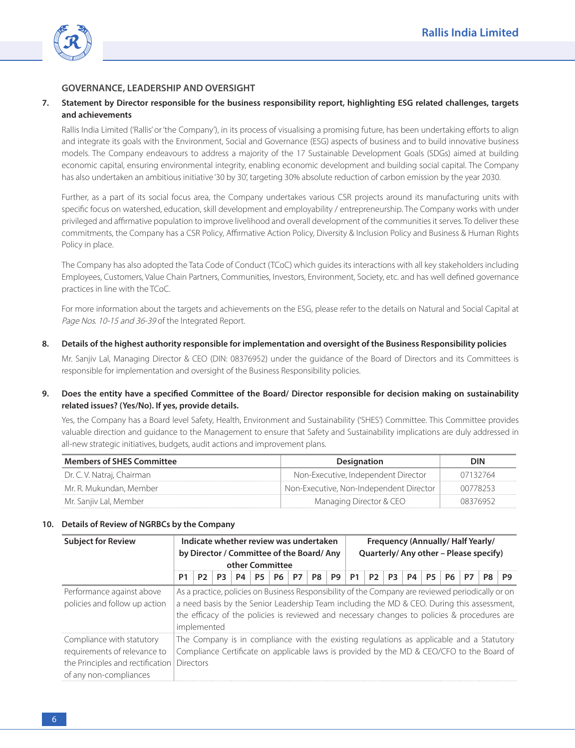

## **GOVERNANCE, LEADERSHIP AND OVERSIGHT**

## **7. Statement by Director responsible for the business responsibility report, highlighting ESG related challenges, targets and achievements**

 Rallis India Limited ('Rallis' or 'the Company'), in its process of visualising a promising future, has been undertaking efforts to align and integrate its goals with the Environment, Social and Governance (ESG) aspects of business and to build innovative business models. The Company endeavours to address a majority of the 17 Sustainable Development Goals (SDGs) aimed at building economic capital, ensuring environmental integrity, enabling economic development and building social capital. The Company has also undertaken an ambitious initiative '30 by 30', targeting 30% absolute reduction of carbon emission by the year 2030.

 Further, as a part of its social focus area, the Company undertakes various CSR projects around its manufacturing units with specific focus on watershed, education, skill development and employability / entrepreneurship. The Company works with under privileged and affirmative population to improve livelihood and overall development of the communities it serves. To deliver these commitments, the Company has a CSR Policy, Affirmative Action Policy, Diversity & Inclusion Policy and Business & Human Rights Policy in place.

 The Company has also adopted the Tata Code of Conduct (TCoC) which guides its interactions with all key stakeholders including Employees, Customers, Value Chain Partners, Communities, Investors, Environment, Society, etc. and has well defined governance practices in line with the TCoC.

 For more information about the targets and achievements on the ESG, please refer to the details on Natural and Social Capital at Page Nos. 10-15 and 36-39 of the Integrated Report.

#### **8. Details of the highest authority responsible for implementation and oversight of the Business Responsibility policies**

 Mr. Sanjiv Lal, Managing Director & CEO (DIN: 08376952) under the guidance of the Board of Directors and its Committees is responsible for implementation and oversight of the Business Responsibility policies.

## **9. Does the entity have a specified Committee of the Board/ Director responsible for decision making on sustainability related issues? (Yes/No). If yes, provide details.**

 Yes, the Company has a Board level Safety, Health, Environment and Sustainability ('SHES') Committee. This Committee provides valuable direction and guidance to the Management to ensure that Safety and Sustainability implications are duly addressed in all-new strategic initiatives, budgets, audit actions and improvement plans.

| <b>Members of SHES Committee</b> | <b>Designation</b>                      | DIN      |
|----------------------------------|-----------------------------------------|----------|
| Dr. C. V. Natraj, Chairman       | Non-Executive, Independent Director     | 07132764 |
| Mr. R. Mukundan, Member          | Non-Executive, Non-Independent Director | 00778253 |
| Mr. Sanjiv Lal, Member           | Managing Director & CEO                 | 08376957 |

#### **10. Details of Review of NGRBCs by the Company**

| <b>Subject for Review</b>                                                                                               | Indicate whether review was undertaken<br>by Director / Committee of the Board/Any<br>other Committee |                                                                                                                                                                                                                                                                                                               |                | Frequency (Annually/Half Yearly/<br>Quarterly/Any other - Please specify) |           |           |    |    |    |                                                                                                                                                                                       |                |                |    |           |     |    |    |    |
|-------------------------------------------------------------------------------------------------------------------------|-------------------------------------------------------------------------------------------------------|---------------------------------------------------------------------------------------------------------------------------------------------------------------------------------------------------------------------------------------------------------------------------------------------------------------|----------------|---------------------------------------------------------------------------|-----------|-----------|----|----|----|---------------------------------------------------------------------------------------------------------------------------------------------------------------------------------------|----------------|----------------|----|-----------|-----|----|----|----|
|                                                                                                                         | P1                                                                                                    | P2                                                                                                                                                                                                                                                                                                            | P <sub>3</sub> | P4                                                                        | <b>P5</b> | <b>P6</b> | P7 | P8 | P9 | P1                                                                                                                                                                                    | P <sub>2</sub> | P <sub>3</sub> | P4 | <b>P5</b> | P6. | P7 | P8 | P9 |
| Performance against above<br>policies and follow up action                                                              |                                                                                                       | As a practice, policies on Business Responsibility of the Company are reviewed periodically or on<br>a need basis by the Senior Leadership Team including the MD & CEO. During this assessment,<br>the efficacy of the policies is reviewed and necessary changes to policies & procedures are<br>implemented |                |                                                                           |           |           |    |    |    |                                                                                                                                                                                       |                |                |    |           |     |    |    |    |
| Compliance with statutory<br>requirements of relevance to<br>the Principles and rectification<br>of any non-compliances | <b>Directors</b>                                                                                      |                                                                                                                                                                                                                                                                                                               |                |                                                                           |           |           |    |    |    | The Company is in compliance with the existing regulations as applicable and a Statutory<br>Compliance Certificate on applicable laws is provided by the MD & CEO/CFO to the Board of |                |                |    |           |     |    |    |    |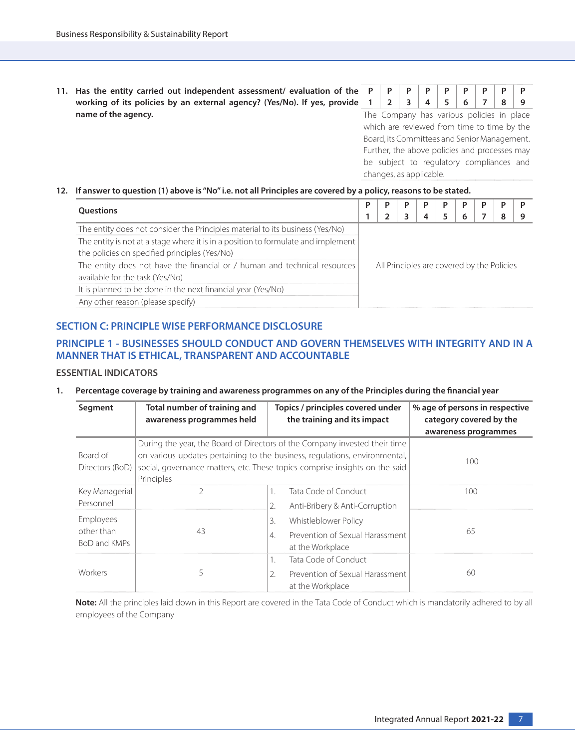**11. Has the entity carried out independent assessment/ evaluation of the working of its policies by an external agency? (Yes/No). If yes, provide name of the agency.**

|  |  |  | . . |  |
|--|--|--|-----|--|

The Company has various policies in place which are reviewed from time to time by the Board, its Committees and Senior Management. Further, the above policies and processes may be subject to regulatory compliances and changes, as applicable.

#### **12. If answer to question (1) above is "No" i.e. not all Principles are covered by a policy, reasons to be stated.**

| <b>Ouestions</b>                                                                                                                   |                                            |  |  |  |  |  |  |  |
|------------------------------------------------------------------------------------------------------------------------------------|--------------------------------------------|--|--|--|--|--|--|--|
|                                                                                                                                    |                                            |  |  |  |  |  |  |  |
| The entity does not consider the Principles material to its business (Yes/No)                                                      |                                            |  |  |  |  |  |  |  |
| The entity is not at a stage where it is in a position to formulate and implement<br>the policies on specified principles (Yes/No) |                                            |  |  |  |  |  |  |  |
| The entity does not have the financial or / human and technical resources<br>available for the task (Yes/No)                       | All Principles are covered by the Policies |  |  |  |  |  |  |  |
| It is planned to be done in the next financial year (Yes/No)                                                                       |                                            |  |  |  |  |  |  |  |
| Any other reason (please specify)                                                                                                  |                                            |  |  |  |  |  |  |  |

## **SECTION C: PRINCIPLE WISE PERFORMANCE DISCLOSURE**

## **PRINCIPLE 1 - BUSINESSES SHOULD CONDUCT AND GOVERN THEMSELVES WITH INTEGRITY AND IN A MANNER THAT IS ETHICAL, TRANSPARENT AND ACCOUNTABLE**

## **ESSENTIAL INDICATORS**

#### **1. Percentage coverage by training and awareness programmes on any of the Principles during the financial year**

| Segment                                 | Total number of training and<br>awareness programmes held                                                                                                                                                                                             | Topics / principles covered under<br>the training and its impact                                      | % age of persons in respective<br>category covered by the |
|-----------------------------------------|-------------------------------------------------------------------------------------------------------------------------------------------------------------------------------------------------------------------------------------------------------|-------------------------------------------------------------------------------------------------------|-----------------------------------------------------------|
|                                         |                                                                                                                                                                                                                                                       |                                                                                                       | awareness programmes                                      |
| Board of<br>Directors (BoD)             | During the year, the Board of Directors of the Company invested their time<br>on various updates pertaining to the business, regulations, environmental,<br>social, governance matters, etc. These topics comprise insights on the said<br>Principles | 100                                                                                                   |                                                           |
| Key Managerial<br>Personnel             | Γ                                                                                                                                                                                                                                                     | Tata Code of Conduct<br>1.<br>2.<br>Anti-Bribery & Anti-Corruption                                    | 100                                                       |
| Employees<br>other than<br>BoD and KMPs | 43                                                                                                                                                                                                                                                    | 3.<br>Whistleblower Policy<br>$\overline{4}$<br>Prevention of Sexual Harassment<br>at the Workplace   | 65                                                        |
| Workers                                 | 5                                                                                                                                                                                                                                                     | Tata Code of Conduct<br>1.<br>$\mathfrak{D}$ .<br>Prevention of Sexual Harassment<br>at the Workplace | 60                                                        |

 **Note:** All the principles laid down in this Report are covered in the Tata Code of Conduct which is mandatorily adhered to by all employees of the Company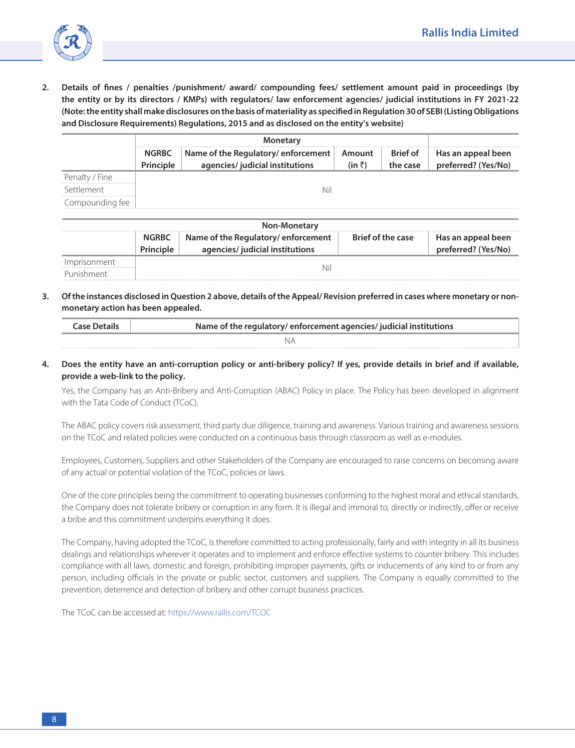

**2. Details of fines / penalties /punishment/ award/ compounding fees/ settlement amount paid in proceedings (by the entity or by its directors / KMPs) with regulators/ law enforcement agencies/ judicial institutions in FY 2021-22 (Note: the entity shall make disclosures on the basis of materiality as specified in Regulation 30 of SEBI (Listing Obligations and Disclosure Requirements) Regulations, 2015 and as disclosed on the entity's website)**

|                 | <b>NGRBC</b> | Name of the Regulatory/enforcement<br>agencies/ judicial institutions | Amount<br>(in $\bar{z}$ ) | <b>Brief of</b><br>the case | Has an appeal been<br>preferred? (Yes/No) |
|-----------------|--------------|-----------------------------------------------------------------------|---------------------------|-----------------------------|-------------------------------------------|
| Penalty / Fine  |              |                                                                       |                           |                             |                                           |
| Settlement      |              |                                                                       |                           |                             |                                           |
| compounding fee |              |                                                                       |                           |                             |                                           |

| <b>Non-Monetary</b> |                           |                                                                       |                          |                                           |  |  |  |  |
|---------------------|---------------------------|-----------------------------------------------------------------------|--------------------------|-------------------------------------------|--|--|--|--|
|                     | <b>NGRBC</b><br>Principle | Name of the Regulatory/enforcement<br>agencies/ judicial institutions | <b>Brief of the case</b> | Has an appeal been<br>preferred? (Yes/No) |  |  |  |  |
| Imprisonment        |                           | Nil                                                                   |                          |                                           |  |  |  |  |
| Punishment          |                           |                                                                       |                          |                                           |  |  |  |  |

**3. Of the instances disclosed in Question 2 above, details of the Appeal/ Revision preferred in cases where monetary or nonmonetary action has been appealed.**

**4. Does the entity have an anti-corruption policy or anti-bribery policy? If yes, provide details in brief and if available, provide a web-link to the policy.**

 Yes, the Company has an Anti-Bribery and Anti-Corruption (ABAC) Policy in place. The Policy has been developed in alignment with the Tata Code of Conduct (TCoC).

 The ABAC policy covers risk assessment, third party due diligence, training and awareness. Various training and awareness sessions on the TCoC and related policies were conducted on a continuous basis through classroom as well as e-modules.

 Employees, Customers, Suppliers and other Stakeholders of the Company are encouraged to raise concerns on becoming aware of any actual or potential violation of the TCoC, policies or laws.

 One of the core principles being the commitment to operating businesses conforming to the highest moral and ethical standards, the Company does not tolerate bribery or corruption in any form. It is illegal and immoral to, directly or indirectly, offer or receive a bribe and this commitment underpins everything it does.

 The Company, having adopted the TCoC, is therefore committed to acting professionally, fairly and with integrity in all its business dealings and relationships wherever it operates and to implement and enforce effective systems to counter bribery. This includes compliance with all laws, domestic and foreign, prohibiting improper payments, gifts or inducements of any kind to or from any person, including officials in the private or public sector, customers and suppliers. The Company is equally committed to the prevention, deterrence and detection of bribery and other corrupt business practices.

The TCoC can be accessed at: [https://www.rallis.com/TCOC](https://www.rallis.com/Upload/Content_Files/TCOC_Revised.pdf)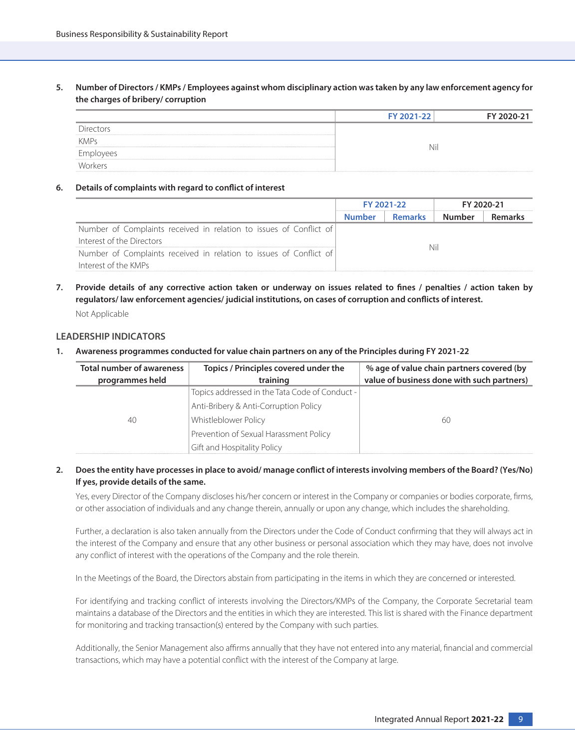**5. Number of Directors / KMPs / Employees against whom disciplinary action was taken by any law enforcement agency for the charges of bribery/ corruption**

|             | FY 2021-22 | FY 2020-21 |
|-------------|------------|------------|
|             |            |            |
| <b>KMPs</b> |            |            |
|             | N١         |            |
|             |            |            |

#### **6. Details of complaints with regard to conflict of interest**

|                                                                                                 | FY 2021-22 |                |        | FY 2020-21 |
|-------------------------------------------------------------------------------------------------|------------|----------------|--------|------------|
|                                                                                                 | Number     | <b>Remarks</b> | Number |            |
| Number of Complaints received in relation to issues of Conflict of<br>Interest of the Directors | Nil        |                |        |            |
| Number of Complaints received in relation to issues of Conflict of<br>Interest of the KMPs      |            |                |        |            |

**7. Provide details of any corrective action taken or underway on issues related to fines / penalties / action taken by regulators/ law enforcement agencies/ judicial institutions, on cases of corruption and conflicts of interest.**

Not Applicable

#### **LEADERSHIP INDICATORS**

**1. Awareness programmes conducted for value chain partners on any of the Principles during FY 2021-22**

| <b>Total number of awareness</b> | Topics / Principles covered under the          | % age of value chain partners covered (by  |
|----------------------------------|------------------------------------------------|--------------------------------------------|
| programmes held                  | training                                       | value of business done with such partners) |
|                                  | Topics addressed in the Tata Code of Conduct - |                                            |
|                                  | Anti-Bribery & Anti-Corruption Policy          |                                            |
| 40                               | Whistleblower Policy                           | 60                                         |
|                                  | Prevention of Sexual Harassment Policy         |                                            |
|                                  | Gift and Hospitality Policy                    |                                            |

## **2. Does the entity have processes in place to avoid/ manage conflict of interests involving members of the Board? (Yes/No) If yes, provide details of the same.**

 Yes, every Director of the Company discloses his/her concern or interest in the Company or companies or bodies corporate, firms, or other association of individuals and any change therein, annually or upon any change, which includes the shareholding.

 Further, a declaration is also taken annually from the Directors under the Code of Conduct confirming that they will always act in the interest of the Company and ensure that any other business or personal association which they may have, does not involve any conflict of interest with the operations of the Company and the role therein.

In the Meetings of the Board, the Directors abstain from participating in the items in which they are concerned or interested.

 For identifying and tracking conflict of interests involving the Directors/KMPs of the Company, the Corporate Secretarial team maintains a database of the Directors and the entities in which they are interested. This list is shared with the Finance department for monitoring and tracking transaction(s) entered by the Company with such parties.

 Additionally, the Senior Management also affirms annually that they have not entered into any material, financial and commercial transactions, which may have a potential conflict with the interest of the Company at large.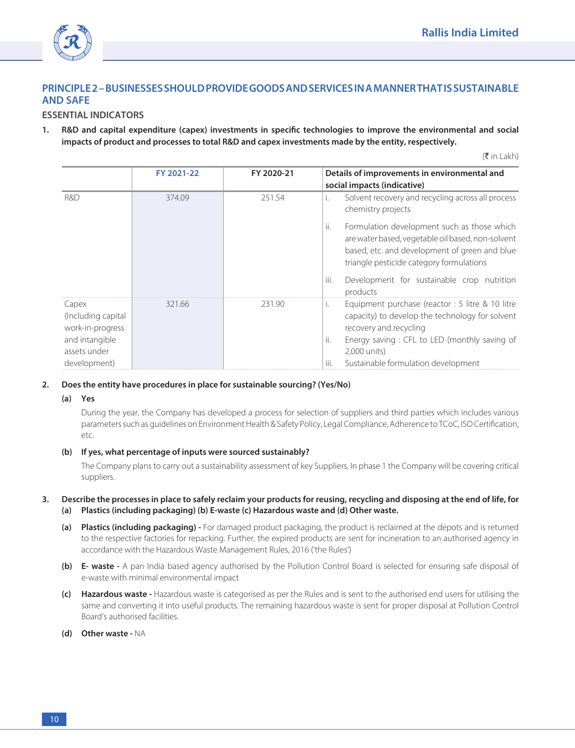

## **PRINCIPLE 2 – BUSINESSES SHOULD PROVIDE GOODS AND SERVICES IN A MANNER THAT IS SUSTAINABLE AND SAFE**

## **ESSENTIAL INDICATORS**

**1. R&D and capital expenditure (capex) investments in specific technologies to improve the environmental and social impacts of product and processes to total R&D and capex investments made by the entity, respectively.**

 $(\bar{\bar{\mathbf{\tau}}}$  in Lakh)

|                                                                                   | FY 2021-22 | FY 2020-21 | Details of improvements in environmental and                                                                                                                                                               |
|-----------------------------------------------------------------------------------|------------|------------|------------------------------------------------------------------------------------------------------------------------------------------------------------------------------------------------------------|
|                                                                                   |            |            | social impacts (indicative)                                                                                                                                                                                |
| R&D                                                                               | 374.09     | 251.54     | Solvent recovery and recycling across all process<br>Τ.<br>chemistry projects                                                                                                                              |
|                                                                                   |            |            | Formulation development such as those which<br>ii.<br>are water based, vegetable oil based, non-solvent<br>based, etc. and development of green and blue<br>triangle pesticide category formulations       |
|                                                                                   |            |            | iii.<br>Development for sustainable crop nutrition<br>products                                                                                                                                             |
| Capex<br>(Including capital<br>work-in-progress<br>and intangible<br>assets under | 321.66     | 231.90     | Equipment purchase (reactor : 5 litre & 10 litre<br>Τ.<br>capacity) to develop the technology for solvent<br>recovery and recycling<br>ji.<br>Energy saving: CFL to LED (monthly saving of<br>2,000 units) |
| development)                                                                      |            |            | iii.<br>Sustainable formulation development                                                                                                                                                                |

#### **2. Does the entity have procedures in place for sustainable sourcing? (Yes/No)**

#### **(a) Yes**

 During the year, the Company has developed a process for selection of suppliers and third parties which includes various parameters such as guidelines on Environment Health & Safety Policy, Legal Compliance, Adherence to TCoC, ISO Certification, etc.

## **(b) If yes, what percentage of inputs were sourced sustainably?**

 The Company plans to carry out a sustainability assessment of key Suppliers. In phase 1 the Company will be covering critical suppliers.

#### **3. Describe the processes in place to safely reclaim your products for reusing, recycling and disposing at the end of life, for (a) Plastics (including packaging) (b) E-waste (c) Hazardous waste and (d) Other waste.**

- **(a) Plastics (including packaging)** For damaged product packaging, the product is reclaimed at the depots and is returned to the respective factories for repacking. Further, the expired products are sent for incineration to an authorised agency in accordance with the Hazardous Waste Management Rules, 2016 ('the Rules')
- **(b) E- waste -** A pan India based agency authorised by the Pollution Control Board is selected for ensuring safe disposal of e-waste with minimal environmental impact
- **(c) Hazardous waste -** Hazardous waste is categorised as per the Rules and is sent to the authorised end users for utilising the same and converting it into useful products. The remaining hazardous waste is sent for proper disposal at Pollution Control Board's authorised facilities.
- **(d) Other waste** NA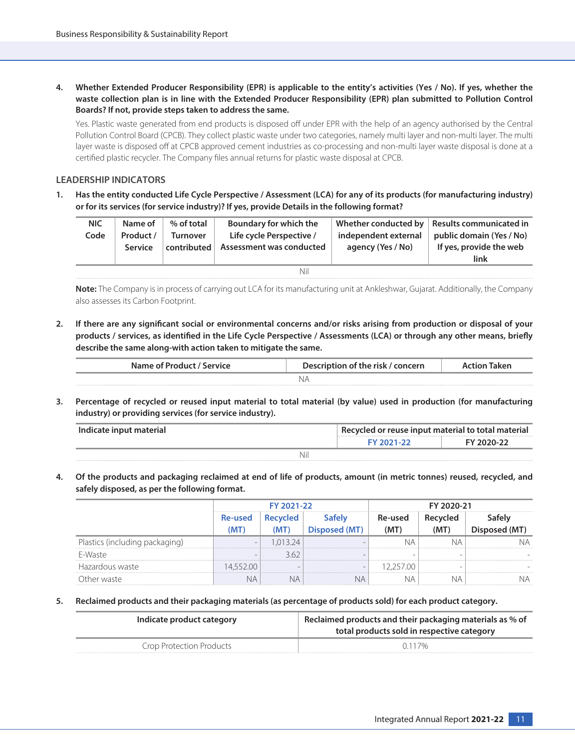**4. Whether Extended Producer Responsibility (EPR) is applicable to the entity's activities (Yes / No). If yes, whether the waste collection plan is in line with the Extended Producer Responsibility (EPR) plan submitted to Pollution Control Boards? If not, provide steps taken to address the same.**

 Yes. Plastic waste generated from end products is disposed off under EPR with the help of an agency authorised by the Central Pollution Control Board (CPCB). They collect plastic waste under two categories, namely multi layer and non-multi layer. The multi layer waste is disposed off at CPCB approved cement industries as co-processing and non-multi layer waste disposal is done at a certified plastic recycler. The Company files annual returns for plastic waste disposal at CPCB.

## **LEADERSHIP INDICATORS**

**1. Has the entity conducted Life Cycle Perspective / Assessment (LCA) for any of its products (for manufacturing industry) or for its services (for service industry)? If yes, provide Details in the following format?**

| <b>NIC</b><br>Code | Name of<br>Product /<br>Service | % of total<br><b>Turnover</b><br>contributed | Boundary for which the<br>Life cycle Perspective /<br>Assessment was conducted | independent external<br>agency (Yes / No) | Whether conducted by   Results communicated in<br>public domain (Yes / No)<br>If yes, provide the web<br>link |
|--------------------|---------------------------------|----------------------------------------------|--------------------------------------------------------------------------------|-------------------------------------------|---------------------------------------------------------------------------------------------------------------|
|                    |                                 |                                              | Nil                                                                            |                                           |                                                                                                               |

 **Note:** The Company is in process of carrying out LCA for its manufacturing unit at Ankleshwar, Gujarat. Additionally, the Company also assesses its Carbon Footprint.

**2. If there are any significant social or environmental concerns and/or risks arising from production or disposal of your products / services, as identified in the Life Cycle Perspective / Assessments (LCA) or through any other means, briefly describe the same along-with action taken to mitigate the same.**

| Name of Product / Service | Description of the risk / concern | Action Taken |  |
|---------------------------|-----------------------------------|--------------|--|
|                           |                                   |              |  |

**3. Percentage of recycled or reused input material to total material (by value) used in production (for manufacturing industry) or providing services (for service industry).**

| Indicate input material | Recycled or reuse input material to total material |            |  |
|-------------------------|----------------------------------------------------|------------|--|
|                         | <b>EY 2021-22</b>                                  | FY 2020-22 |  |
| Nii                     |                                                    |            |  |

**4. Of the products and packaging reclaimed at end of life of products, amount (in metric tonnes) reused, recycled, and safely disposed, as per the following format.**

|                                |                          | FY 2021-22 |                          | FY 2020-21    |                          |  |  |
|--------------------------------|--------------------------|------------|--------------------------|---------------|--------------------------|--|--|
|                                | <b>Re-used</b>           |            |                          | Re-used<br>MI |                          |  |  |
| Plastics (including packaging) | $\overline{\phantom{0}}$ |            |                          |               |                          |  |  |
| F-Waste                        |                          | 362        |                          | -             | $\overline{\phantom{a}}$ |  |  |
| Hazardous waste                |                          |            | $\overline{\phantom{a}}$ |               |                          |  |  |
|                                |                          |            |                          |               |                          |  |  |

**5. Reclaimed products and their packaging materials (as percentage of products sold) for each product category.**

| Indicate product category | Reclaimed products and their packaging materials as % of<br>total products sold in respective category |  |  |  |
|---------------------------|--------------------------------------------------------------------------------------------------------|--|--|--|
| Crop Protection Products  | 0.117%                                                                                                 |  |  |  |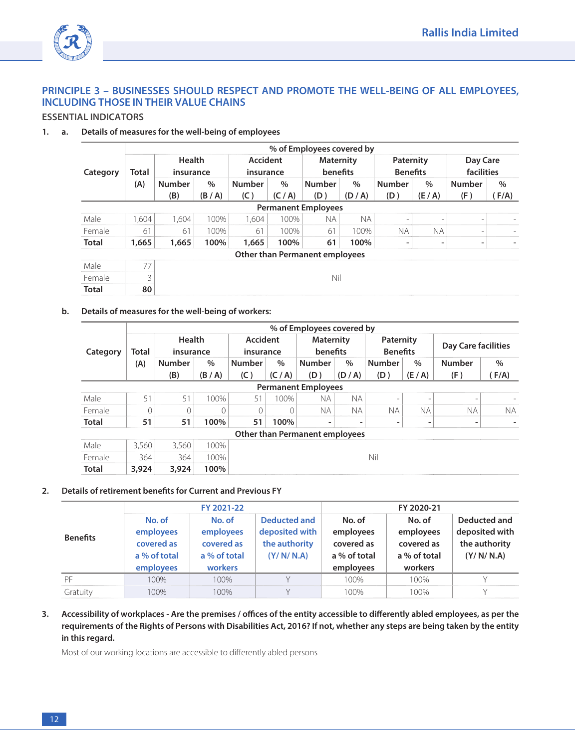

## **PRINCIPLE 3 – BUSINESSES SHOULD RESPECT AND PROMOTE THE WELL-BEING OF ALL EMPLOYEES, INCLUDING THOSE IN THEIR VALUE CHAINS**

## **ESSENTIAL INDICATORS**

## **1. a. Details of measures for the well-being of employees**

|              |       | % of Employees covered by |         |                       |       |                                       |       |                              |                          |                        |       |  |  |
|--------------|-------|---------------------------|---------|-----------------------|-------|---------------------------------------|-------|------------------------------|--------------------------|------------------------|-------|--|--|
| Category     | Total | Health<br>insurance       |         | Accident<br>insurance |       | <b>Maternity</b><br>benefits          |       | Paternity<br><b>Benefits</b> |                          | Day Care<br>facilities |       |  |  |
|              | (A)   | <b>Number</b>             | $\%$    | <b>Number</b>         | $\%$  | <b>Number</b>                         | $\%$  | <b>Number</b>                | $\%$                     | Number                 | $\%$  |  |  |
|              |       | (B)                       | (B / A) | (C)                   | (C/A) | (D)                                   | (D/A) | (D)                          | (E/A)                    | (F)                    | (F/A) |  |  |
|              |       |                           |         |                       |       | <b>Permanent Employees</b>            |       |                              |                          |                        |       |  |  |
| Male         | 1.604 | 1.604                     | 100%    | 1.604                 | 100%  | ΝA                                    | ΝA    |                              |                          |                        |       |  |  |
| Female       | 61    | 61                        | 100%    | 61                    | 100%  | 61                                    | 100%  | NА                           | NА                       |                        |       |  |  |
| Total        | 1,665 | 1,665                     | 100%    | 1,665                 | 100%  | 61                                    | 100%  |                              | $\overline{\phantom{a}}$ |                        |       |  |  |
|              |       |                           |         |                       |       | <b>Other than Permanent employees</b> |       |                              |                          |                        |       |  |  |
| Male         |       |                           |         |                       |       |                                       |       |                              |                          |                        |       |  |  |
| Female       |       |                           | Nil     |                       |       |                                       |       |                              |                          |                        |       |  |  |
| <b>Total</b> | 80    |                           |         |                       |       |                                       |       |                              |                          |                        |       |  |  |

#### **b. Details of measures for the well-being of workers:**

|              | % of Employees covered by |                            |      |                              |      |                                |      |                              |      |                     |               |     |
|--------------|---------------------------|----------------------------|------|------------------------------|------|--------------------------------|------|------------------------------|------|---------------------|---------------|-----|
| Category     | Total                     | <b>Health</b><br>insurance |      | <b>Accident</b><br>insurance |      | <b>Maternity</b><br>benefits   |      | Paternity<br><b>Benefits</b> |      | Day Care facilities |               |     |
|              | (A)                       | <b>Number</b>              | $\%$ | <b>Number</b>                | $\%$ | <b>Number</b>                  | $\%$ | <b>Number</b>                | $\%$ | <b>Number</b>       | $\frac{0}{0}$ |     |
|              |                           |                            | (B)  | (B/A)                        | (C)  | (C/A)                          | (D)  | (D/A)                        | (D)  | (E/A)               | (F)           | F/A |
|              |                           |                            |      |                              |      | <b>Permanent Employees</b>     |      |                              |      |                     |               |     |
| Male         | 51                        | 51                         | 100% | 51                           | 100% | N A                            | ΝA   |                              |      |                     |               |     |
| Female       |                           |                            | n    |                              |      | N A                            | NА   | N A                          | NА   | ΝA                  | ΝA            |     |
| <b>Total</b> | 51                        | 51                         | 100% | 51                           | 100% |                                |      |                              |      |                     |               |     |
|              |                           |                            |      |                              |      | Other than Permanent employees |      |                              |      |                     |               |     |
| Male         | 3.560                     | 3.560                      | 100% |                              |      |                                |      |                              |      |                     |               |     |
| Female       | 364                       | 364                        | 100% |                              | Nil  |                                |      |                              |      |                     |               |     |
| <b>Total</b> | 3,924                     | 3,924                      | 100% |                              |      |                                |      |                              |      |                     |               |     |

## **2. Details of retirement benefits for Current and Previous FY**

|                 |                                                                | FY 2021-22                                                   |                                                                     | FY 2020-21                                                     |                                                              |                                                              |  |
|-----------------|----------------------------------------------------------------|--------------------------------------------------------------|---------------------------------------------------------------------|----------------------------------------------------------------|--------------------------------------------------------------|--------------------------------------------------------------|--|
| <b>Benefits</b> | No. of<br>employees<br>covered as<br>a % of total<br>employees | No. of<br>employees<br>covered as<br>a % of total<br>workers | <b>Deducted and</b><br>deposited with<br>the authority<br>(Y/N/N.A) | No. of<br>employees<br>covered as<br>a % of total<br>employees | No. of<br>employees<br>covered as<br>a % of total<br>workers | Deducted and<br>deposited with<br>the authority<br>(Y/N/N.A) |  |
|                 | 100%                                                           | 100%                                                         |                                                                     | 100%                                                           | 100%                                                         |                                                              |  |
| Gratuity        | $\bigcap Q_{\alpha}$                                           | $00\%$                                                       |                                                                     | $\bigcap Q$                                                    | $100\%$                                                      |                                                              |  |

**3. Accessibility of workplaces - Are the premises / offices of the entity accessible to differently abled employees, as per the requirements of the Rights of Persons with Disabilities Act, 2016? If not, whether any steps are being taken by the entity in this regard.**

Most of our working locations are accessible to differently abled persons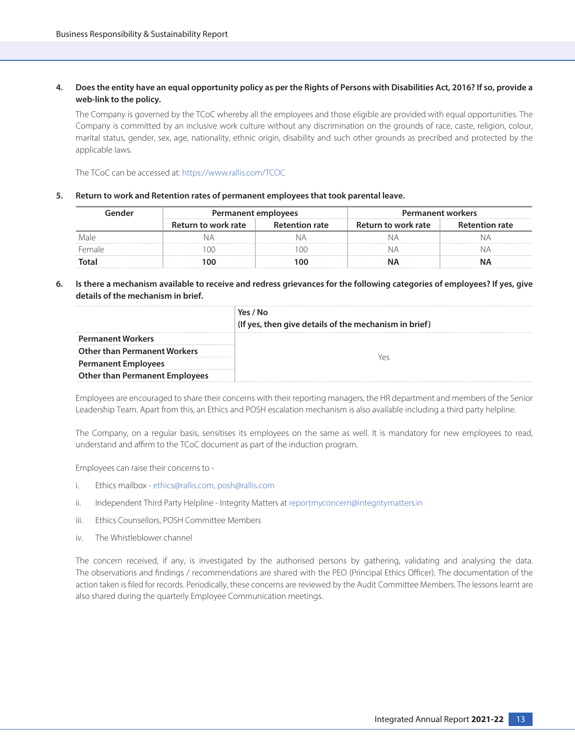## **4. Does the entity have an equal opportunity policy as per the Rights of Persons with Disabilities Act, 2016? If so, provide a web-link to the policy.**

 The Company is governed by the TCoC whereby all the employees and those eligible are provided with equal opportunities. The Company is committed by an inclusive work culture without any discrimination on the grounds of race, caste, religion, colour, marital status, gender, sex, age, nationality, ethnic origin, disability and such other grounds as precribed and protected by the applicable laws.

The TCoC can be accessed at: [https://www.rallis.com/TCOC](https://www.rallis.com/Upload/Content_Files/TCOC_Revised.pdf)

#### **5. Return to work and Retention rates of permanent employees that took parental leave.**

| 1ANA1  | Permanent employees |                       | <b>Permanent workers</b> |                       |  |
|--------|---------------------|-----------------------|--------------------------|-----------------------|--|
|        | Return to work rate | <b>Retention rate</b> | Return to work rate      | <b>Retention rate</b> |  |
|        |                     |                       |                          |                       |  |
| -emale |                     |                       |                          |                       |  |
|        | n                   |                       |                          |                       |  |

## **6. Is there a mechanism available to receive and redress grievances for the following categories of employees? If yes, give details of the mechanism in brief.**

|                                       | Yes / No<br>(If yes, then give details of the mechanism in brief) |
|---------------------------------------|-------------------------------------------------------------------|
| <b>Permanent Workers</b>              |                                                                   |
| <b>Other than Permanent Workers</b>   |                                                                   |
| <b>Permanent Employees</b>            |                                                                   |
| <b>Other than Permanent Employees</b> |                                                                   |

Employees are encouraged to share their concerns with their reporting managers, the HR department and members of the Senior Leadership Team. Apart from this, an Ethics and POSH escalation mechanism is also available including a third party helpline.

 The Company, on a regular basis, sensitises its employees on the same as well. It is mandatory for new employees to read, understand and affirm to the TCoC document as part of the induction program.

Employees can raise their concerns to -

- i. Ethics mailbox [ethics@rallis.com](mailto:ethics@rallis.com), posh@rallis.com
- ii. Independent Third Party Helpline Integrity Matters at reportmyconcern@integritymatters.in
- iii. Ethics Counsellors, POSH Committee Members
- iv. The Whistleblower channel

 The concern received, if any, is investigated by the authorised persons by gathering, validating and analysing the data. The observations and findings / recommendations are shared with the PEO (Principal Ethics Officer). The documentation of the action taken is filed for records. Periodically, these concerns are reviewed by the Audit Committee Members. The lessons learnt are also shared during the quarterly Employee Communication meetings.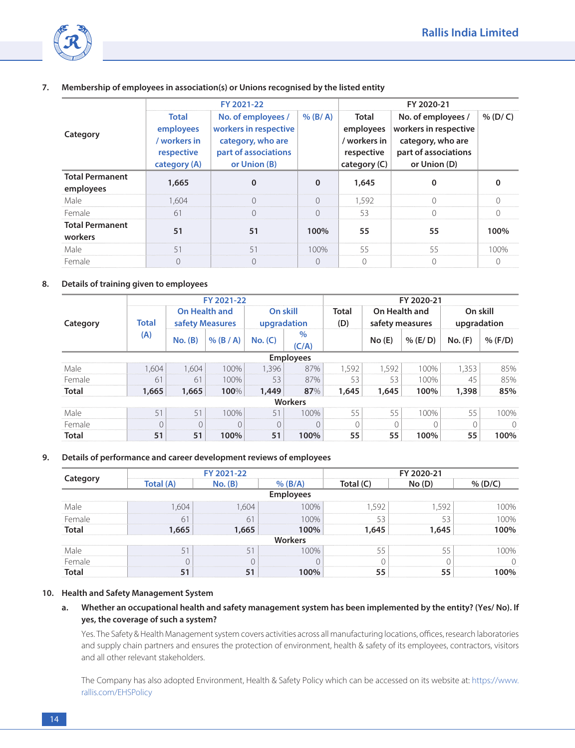

**7. Membership of employees in association(s) or Unions recognised by the listed entity**

|                                     |                                                                  | FY 2021-22                                                                                                           | FY 2020-21 |                                                                    |                                                                                                          |                      |
|-------------------------------------|------------------------------------------------------------------|----------------------------------------------------------------------------------------------------------------------|------------|--------------------------------------------------------------------|----------------------------------------------------------------------------------------------------------|----------------------|
| Category                            | Total<br>employees<br>/ workers in<br>respective<br>category (A) | No. of employees $/$   % (B/A)<br>workers in respective<br>category, who are<br>part of associations<br>or Union (B) |            | Total<br>employees<br>/ workers in<br>respective<br>category $(C)$ | No. of employees /<br>workers in respective<br>category, who are<br>part of associations<br>or Union (D) | $\frac{96}{2}$ (D/C) |
| <b>Total Permanent</b><br>employees | 1,665                                                            |                                                                                                                      |            | 1,645                                                              |                                                                                                          |                      |
| Male                                | 1.604                                                            |                                                                                                                      |            | 1.592                                                              |                                                                                                          |                      |
| Female                              | 6                                                                |                                                                                                                      |            | 53                                                                 |                                                                                                          |                      |
| <b>Total Permanent</b><br>workers   | 51                                                               | 51                                                                                                                   | 100%       | 55                                                                 | 55                                                                                                       | 100%                 |
| Male                                | 5.                                                               | 51                                                                                                                   | $100\%$    | 55                                                                 | 55                                                                                                       | 100%                 |
| Female                              |                                                                  |                                                                                                                      |            |                                                                    |                                                                                                          |                      |

## **8. Details of training given to employees**

|              |              | FY 2021-22                              |             |                         |                  |              | FY 2020-21                       |          |                         |         |  |
|--------------|--------------|-----------------------------------------|-------------|-------------------------|------------------|--------------|----------------------------------|----------|-------------------------|---------|--|
| Category     | <b>Total</b> | <b>On Health and</b><br>safety Measures |             | On skill<br>upgradation |                  | Total<br>(D) | On Health and<br>safety measures |          | On skill<br>upgradation |         |  |
|              | (A)          | No. (B)                                 | $%$ (B / A) | No. (C)                 | $\%$<br>(C/A)    |              | No(E)                            | % (E/ D) | No. (F)                 | % (F/D) |  |
|              |              |                                         |             |                         | <b>Employees</b> |              |                                  |          |                         |         |  |
| Male         | 1.604        | 1.604                                   | 100%        | 1.396                   | 87%              | 1.592        | 1.592                            | 100%     | 1.353                   | 85%     |  |
| Female       | 61           | 61                                      | 100%        | 53                      | 87%              | 53           | 53                               | 100%     | 45                      | 85%     |  |
| Total        | 1,665        | 1,665                                   | 100%        | 1,449                   | 87%              | 1,645        | 1,645                            | 100%     | 1,398                   | 85%     |  |
|              |              |                                         |             |                         | <b>Workers</b>   |              |                                  |          |                         |         |  |
| Male         | 51           | 51                                      | 100%        | 51                      | 100%             | 55           | 55                               | 100%     | 55                      | 100%    |  |
| Female       | $\cap$       |                                         |             |                         |                  |              |                                  |          |                         |         |  |
| <b>Total</b> | 51           | 51                                      | 100%        | 51                      | 100%             | 55           | 55                               | 100%     | 55                      | 100%    |  |

#### **9. Details of performance and career development reviews of employees**

|         |           | FY 2021-22 |         | FY 2020-21 |       |  |  |
|---------|-----------|------------|---------|------------|-------|--|--|
|         | Total (A) |            |         | [otal (C)  | No(D) |  |  |
|         |           |            |         |            |       |  |  |
|         |           |            |         |            |       |  |  |
| Female. |           |            |         |            |       |  |  |
|         |           |            |         |            |       |  |  |
|         |           |            | Workers |            |       |  |  |
|         |           |            |         |            |       |  |  |
| -emale  |           |            |         |            |       |  |  |
|         |           |            |         |            |       |  |  |

## **10. Health and Safety Management System**

## **a. Whether an occupational health and safety management system has been implemented by the entity? (Yes/ No). If yes, the coverage of such a system?**

 Yes. The Safety & Health Management system covers activities across all manufacturing locations, offices, research laboratories and supply chain partners and ensures the protection of environment, health & safety of its employees, contractors, visitors and all other relevant stakeholders.

 The Company has also adopted Environment, Health & Safety Policy which can be accessed on its website at: [https://www.](https://www.rallis.com/upload/pdf/ehs-policy-2019.pdf) [rallis.com/EHSPolicy](https://www.rallis.com/upload/pdf/ehs-policy-2019.pdf)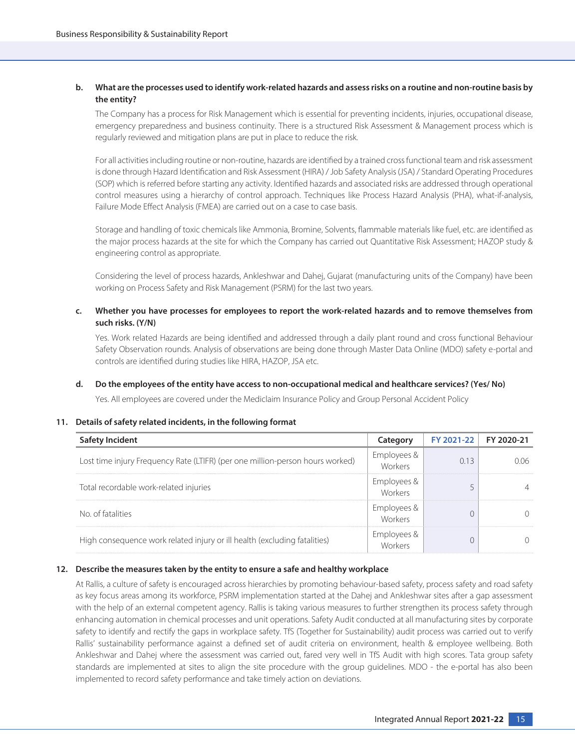## **b. What are the processes used to identify work-related hazards and assess risks on a routine and non-routine basis by the entity?**

 The Company has a process for Risk Management which is essential for preventing incidents, injuries, occupational disease, emergency preparedness and business continuity. There is a structured Risk Assessment & Management process which is regularly reviewed and mitigation plans are put in place to reduce the risk.

 For all activities including routine or non-routine, hazards are identified by a trained cross functional team and risk assessment is done through Hazard Identification and Risk Assessment (HIRA) / Job Safety Analysis (JSA) / Standard Operating Procedures (SOP) which is referred before starting any activity. Identified hazards and associated risks are addressed through operational control measures using a hierarchy of control approach. Techniques like Process Hazard Analysis (PHA), what-if-analysis, Failure Mode Effect Analysis (FMEA) are carried out on a case to case basis.

 Storage and handling of toxic chemicals like Ammonia, Bromine, Solvents, flammable materials like fuel, etc. are identified as the major process hazards at the site for which the Company has carried out Quantitative Risk Assessment; HAZOP study & engineering control as appropriate.

 Considering the level of process hazards, Ankleshwar and Dahej, Gujarat (manufacturing units of the Company) have been working on Process Safety and Risk Management (PSRM) for the last two years.

**c. Whether you have processes for employees to report the work-related hazards and to remove themselves from such risks. (Y/N)**

 Yes. Work related Hazards are being identified and addressed through a daily plant round and cross functional Behaviour Safety Observation rounds. Analysis of observations are being done through Master Data Online (MDO) safety e-portal and controls are identified during studies like HIRA, HAZOP, JSA etc.

## **d. Do the employees of the entity have access to non-occupational medical and healthcare services? (Yes/ No)**

Yes. All employees are covered under the Mediclaim Insurance Policy and Group Personal Accident Policy

#### **11. Details of safety related incidents, in the following format**

| Safety Incident                                                               | Category                   | FY 2021-22 | FY 2020-21 |
|-------------------------------------------------------------------------------|----------------------------|------------|------------|
| Lost time injury Frequency Rate (LTIFR) (per one million-person hours worked) | ,<br>/orkers               | 013        |            |
| Total recordable work-related injuries                                        |                            |            |            |
| No. of fatalities                                                             | $\frac{1}{2}$ Ernployees & |            |            |
| High consequence work related injury or ill health (excluding fatalities)     | $\frac{1}{2}$ amployees &  |            |            |

## **12. Describe the measures taken by the entity to ensure a safe and healthy workplace**

 At Rallis, a culture of safety is encouraged across hierarchies by promoting behaviour-based safety, process safety and road safety as key focus areas among its workforce, PSRM implementation started at the Dahej and Ankleshwar sites after a gap assessment with the help of an external competent agency. Rallis is taking various measures to further strengthen its process safety through enhancing automation in chemical processes and unit operations. Safety Audit conducted at all manufacturing sites by corporate safety to identify and rectify the gaps in workplace safety. TfS (Together for Sustainability) audit process was carried out to verify Rallis' sustainability performance against a defined set of audit criteria on environment, health & employee wellbeing. Both Ankleshwar and Dahej where the assessment was carried out, fared very well in TfS Audit with high scores. Tata group safety standards are implemented at sites to align the site procedure with the group guidelines. MDO - the e-portal has also been implemented to record safety performance and take timely action on deviations.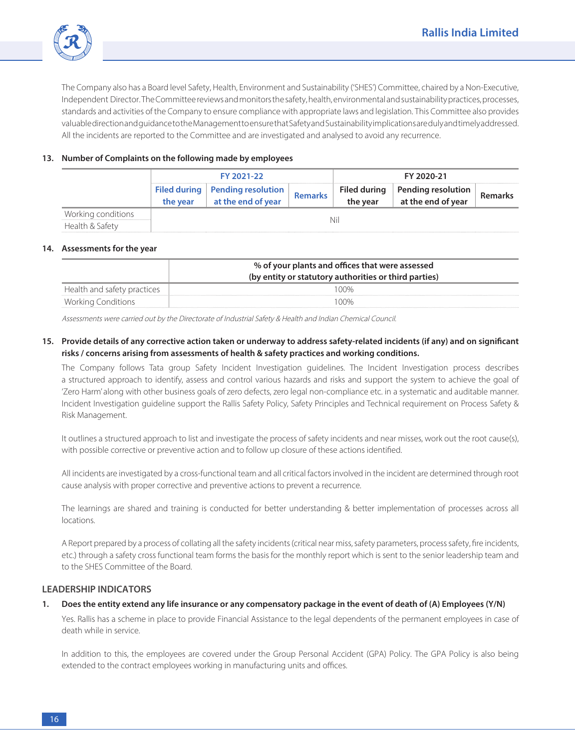

 The Company also has a Board level Safety, Health, Environment and Sustainability ('SHES') Committee, chaired by a Non-Executive, Independent Director. The Committee reviews and monitors the safety, health, environmental and sustainability practices, processes, standards and activities of the Company to ensure compliance with appropriate laws and legislation. This Committee also provides valuable direction and guidance to the Management to ensure that Safety and Sustainability implications are duly and timely addressed. All the incidents are reported to the Committee and are investigated and analysed to avoid any recurrence.

## **13. Number of Complaints on the following made by employees**

|                                       | FY 2021-22 |                                                         |                | FY 2020-21                      |                                          |                |  |
|---------------------------------------|------------|---------------------------------------------------------|----------------|---------------------------------|------------------------------------------|----------------|--|
|                                       | the year   | Filed during   Pending resolution<br>at the end of year | <b>Remarks</b> | <b>Filed during</b><br>the year | Pending resolution<br>at the end of year | <b>Remarks</b> |  |
| Working conditions<br>Health & Safety |            |                                                         |                | Ni                              |                                          |                |  |

#### **14. Assessments for the year**

|                             | % of your plants and offices that were assessed       |  |  |  |
|-----------------------------|-------------------------------------------------------|--|--|--|
|                             | (by entity or statutory authorities or third parties) |  |  |  |
| Health and safety practices | 100%                                                  |  |  |  |
| <b>Working Conditions</b>   | 100%                                                  |  |  |  |

Assessments were carried out by the Directorate of Industrial Safety & Health and Indian Chemical Council.

## **15. Provide details of any corrective action taken or underway to address safety-related incidents (if any) and on significant risks / concerns arising from assessments of health & safety practices and working conditions.**

 The Company follows Tata group Safety Incident Investigation guidelines. The Incident Investigation process describes a structured approach to identify, assess and control various hazards and risks and support the system to achieve the goal of 'Zero Harm' along with other business goals of zero defects, zero legal non-compliance etc. in a systematic and auditable manner. Incident Investigation guideline support the Rallis Safety Policy, Safety Principles and Technical requirement on Process Safety & Risk Management.

 It outlines a structured approach to list and investigate the process of safety incidents and near misses, work out the root cause(s), with possible corrective or preventive action and to follow up closure of these actions identified.

 All incidents are investigated by a cross-functional team and all critical factors involved in the incident are determined through root cause analysis with proper corrective and preventive actions to prevent a recurrence.

 The learnings are shared and training is conducted for better understanding & better implementation of processes across all locations.

 A Report prepared by a process of collating all the safety incidents (critical near miss, safety parameters, process safety, fire incidents, etc.) through a safety cross functional team forms the basis for the monthly report which is sent to the senior leadership team and to the SHES Committee of the Board.

## **LEADERSHIP INDICATORS**

## **1. Does the entity extend any life insurance or any compensatory package in the event of death of (A) Employees (Y/N)**

 Yes. Rallis has a scheme in place to provide Financial Assistance to the legal dependents of the permanent employees in case of death while in service.

 In addition to this, the employees are covered under the Group Personal Accident (GPA) Policy. The GPA Policy is also being extended to the contract employees working in manufacturing units and offices.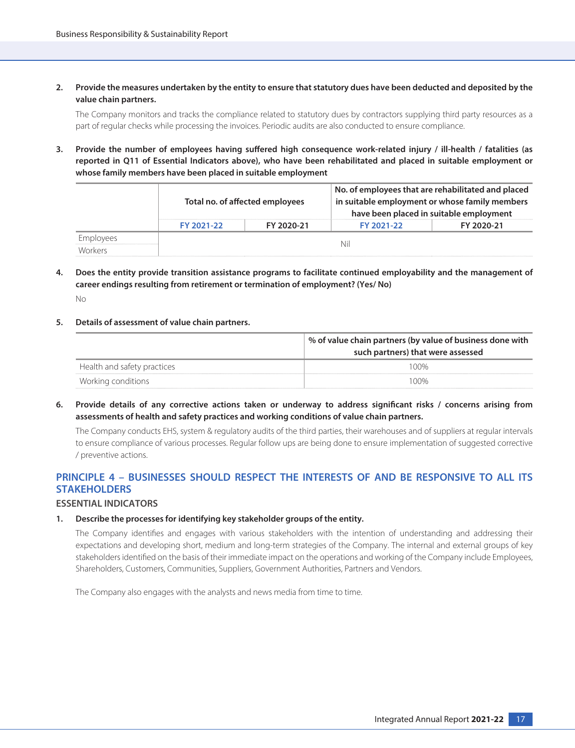**2. Provide the measures undertaken by the entity to ensure that statutory dues have been deducted and deposited by the value chain partners.**

 The Company monitors and tracks the compliance related to statutory dues by contractors supplying third party resources as a part of regular checks while processing the invoices. Periodic audits are also conducted to ensure compliance.

**3. Provide the number of employees having suffered high consequence work-related injury / ill-health / fatalities (as reported in Q11 of Essential Indicators above), who have been rehabilitated and placed in suitable employment or whose family members have been placed in suitable employment**

|                      | Total no. of affected employees |            | No. of employees that are rehabilitated and placed<br>in suitable employment or whose family members<br>have been placed in suitable employment |            |  |  |
|----------------------|---------------------------------|------------|-------------------------------------------------------------------------------------------------------------------------------------------------|------------|--|--|
|                      | FY 2021-22                      | FY 2020-21 | FY 2021-22                                                                                                                                      | FY 2020-21 |  |  |
| Employees<br>Workers |                                 |            | Nil                                                                                                                                             |            |  |  |

**4. Does the entity provide transition assistance programs to facilitate continued employability and the management of career endings resulting from retirement or termination of employment? (Yes/ No)**

No

**5. Details of assessment of value chain partners.**

|                             | % of value chain partners (by value of business done with<br>such partners) that were assessed |  |  |  |  |
|-----------------------------|------------------------------------------------------------------------------------------------|--|--|--|--|
| Health and safety practices | 100%                                                                                           |  |  |  |  |
| Working conditions          | 100%                                                                                           |  |  |  |  |

**6. Provide details of any corrective actions taken or underway to address significant risks / concerns arising from assessments of health and safety practices and working conditions of value chain partners.**

 The Company conducts EHS, system & regulatory audits of the third parties, their warehouses and of suppliers at regular intervals to ensure compliance of various processes. Regular follow ups are being done to ensure implementation of suggested corrective / preventive actions.

## **PRINCIPLE 4 – BUSINESSES SHOULD RESPECT THE INTERESTS OF AND BE RESPONSIVE TO ALL ITS STAKEHOLDERS**

#### **ESSENTIAL INDICATORS**

#### **1. Describe the processes for identifying key stakeholder groups of the entity.**

 The Company identifies and engages with various stakeholders with the intention of understanding and addressing their expectations and developing short, medium and long-term strategies of the Company. The internal and external groups of key stakeholders identified on the basis of their immediate impact on the operations and working of the Company include Employees, Shareholders, Customers, Communities, Suppliers, Government Authorities, Partners and Vendors.

The Company also engages with the analysts and news media from time to time.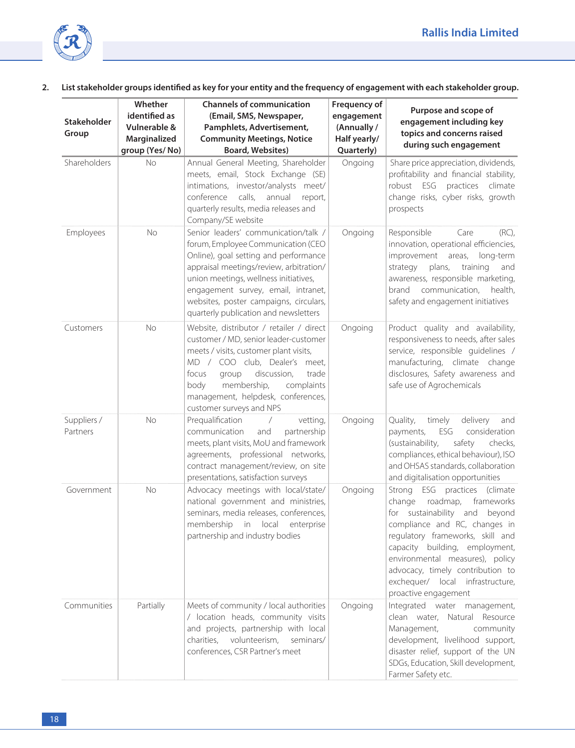

## **2. List stakeholder groups identified as key for your entity and the frequency of engagement with each stakeholder group.**

| <b>Stakeholder</b><br>Group | Whether<br>identified as<br>Vulnerable &<br>Marginalized<br>group (Yes/No) | <b>Channels of communication</b><br>(Email, SMS, Newspaper,<br>Pamphlets, Advertisement,<br><b>Community Meetings, Notice</b><br><b>Board, Websites)</b>                                                                                                                                                                          | Frequency of<br>engagement<br>(Annually /<br>Half yearly/<br>Quarterly) | Purpose and scope of<br>engagement including key<br>topics and concerns raised<br>during such engagement                                                                                                                                                                                                                                              |
|-----------------------------|----------------------------------------------------------------------------|-----------------------------------------------------------------------------------------------------------------------------------------------------------------------------------------------------------------------------------------------------------------------------------------------------------------------------------|-------------------------------------------------------------------------|-------------------------------------------------------------------------------------------------------------------------------------------------------------------------------------------------------------------------------------------------------------------------------------------------------------------------------------------------------|
| Shareholders                | <b>No</b>                                                                  | Annual General Meeting, Shareholder<br>meets, email, Stock Exchange (SE)<br>intimations, investor/analysts meet/<br>calls,<br>annual<br>conference<br>report,<br>quarterly results, media releases and<br>Company/SE website                                                                                                      | Ongoing                                                                 | Share price appreciation, dividends,<br>profitability and financial stability,<br>robust ESG practices climate<br>change risks, cyber risks, growth<br>prospects                                                                                                                                                                                      |
| Employees                   | No                                                                         | Senior leaders' communication/talk /<br>forum, Employee Communication (CEO<br>Online), goal setting and performance<br>appraisal meetings/review, arbitration/<br>union meetings, wellness initiatives,<br>engagement survey, email, intranet,<br>websites, poster campaigns, circulars,<br>quarterly publication and newsletters | Ongoing                                                                 | $(RC)$ ,<br>Responsible<br>Care<br>innovation, operational efficiencies,<br>improvement<br>areas,<br>long-term<br>plans,<br>training<br>strategy<br>and<br>awareness, responsible marketing,<br>communication,<br>health,<br>brand<br>safety and engagement initiatives                                                                               |
| Customers                   | <b>No</b>                                                                  | Website, distributor / retailer / direct<br>customer / MD, senior leader-customer<br>meets / visits, customer plant visits,<br>MD / COO club, Dealer's meet,<br>discussion,<br>focus<br>trade<br>group<br>membership,<br>complaints<br>body<br>management, helpdesk, conferences,<br>customer surveys and NPS                     | Ongoing                                                                 | Product quality and availability,<br>responsiveness to needs, after sales<br>service, responsible quidelines /<br>manufacturing, climate change<br>disclosures, Safety awareness and<br>safe use of Agrochemicals                                                                                                                                     |
| Suppliers /<br>Partners     | No                                                                         | Prequalification<br>vetting,<br>communication<br>partnership<br>and<br>meets, plant visits, MoU and framework<br>agreements, professional networks,<br>contract management/review, on site<br>presentations, satisfaction surveys                                                                                                 | Ongoing                                                                 | Quality,<br>timely<br>delivery<br>and<br>payments,<br>ESG<br>consideration<br>(sustainability,<br>safety<br>checks,<br>compliances, ethical behaviour), ISO<br>and OHSAS standards, collaboration<br>and digitalisation opportunities                                                                                                                 |
| Government                  | <b>No</b>                                                                  | Advocacy meetings with local/state/<br>national government and ministries,<br>seminars, media releases, conferences,<br>membership<br>in local<br>enterprise<br>partnership and industry bodies                                                                                                                                   | Ongoing                                                                 | Strong ESG practices<br>(climate<br>roadmap,<br>change<br>frameworks<br>sustainability and<br>beyond<br>for<br>compliance and RC, changes in<br>regulatory frameworks, skill and<br>capacity building, employment,<br>environmental measures), policy<br>advocacy, timely contribution to<br>exchequer/ local infrastructure,<br>proactive engagement |
| Communities                 | Partially                                                                  | Meets of community / local authorities<br>/ location heads, community visits<br>and projects, partnership with local<br>charities,<br>volunteerism,<br>seminars/<br>conferences, CSR Partner's meet                                                                                                                               | Ongoing                                                                 | Integrated water management,<br>clean water, Natural Resource<br>Management,<br>community<br>development, livelihood support,<br>disaster relief, support of the UN<br>SDGs, Education, Skill development,<br>Farmer Safety etc.                                                                                                                      |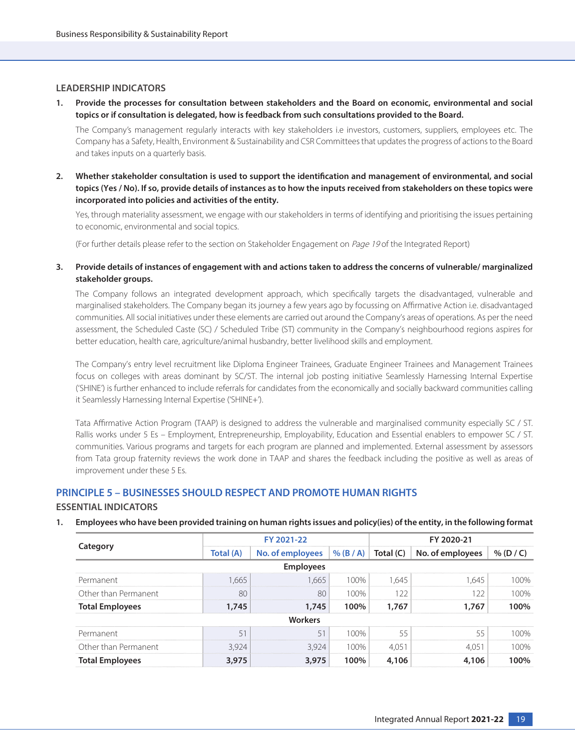#### **LEADERSHIP INDICATORS**

**1. Provide the processes for consultation between stakeholders and the Board on economic, environmental and social topics or if consultation is delegated, how is feedback from such consultations provided to the Board.**

 The Company's management regularly interacts with key stakeholders i.e investors, customers, suppliers, employees etc. The Company has a Safety, Health, Environment & Sustainability and CSR Committees that updates the progress of actions to the Board and takes inputs on a quarterly basis.

**2. Whether stakeholder consultation is used to support the identification and management of environmental, and social topics (Yes / No). If so, provide details of instances as to how the inputs received from stakeholders on these topics were incorporated into policies and activities of the entity.**

 Yes, through materiality assessment, we engage with our stakeholders in terms of identifying and prioritising the issues pertaining to economic, environmental and social topics.

(For further details please refer to the section on Stakeholder Engagement on Page 19 of the Integrated Report)

**3. Provide details of instances of engagement with and actions taken to address the concerns of vulnerable/ marginalized stakeholder groups.**

 The Company follows an integrated development approach, which specifically targets the disadvantaged, vulnerable and marginalised stakeholders. The Company began its journey a few years ago by focussing on Affirmative Action i.e. disadvantaged communities. All social initiatives under these elements are carried out around the Company's areas of operations. As per the need assessment, the Scheduled Caste (SC) / Scheduled Tribe (ST) community in the Company's neighbourhood regions aspires for better education, health care, agriculture/animal husbandry, better livelihood skills and employment.

 The Company's entry level recruitment like Diploma Engineer Trainees, Graduate Engineer Trainees and Management Trainees focus on colleges with areas dominant by SC/ST. The internal job posting initiative Seamlessly Harnessing Internal Expertise ('SHINE') is further enhanced to include referrals for candidates from the economically and socially backward communities calling it Seamlessly Harnessing Internal Expertise ('SHINE+').

 Tata Affirmative Action Program (TAAP) is designed to address the vulnerable and marginalised community especially SC / ST. Rallis works under 5 Es – Employment, Entrepreneurship, Employability, Education and Essential enablers to empower SC / ST. communities. Various programs and targets for each program are planned and implemented. External assessment by assessors from Tata group fraternity reviews the work done in TAAP and shares the feedback including the positive as well as areas of improvement under these 5 Es.

## **PRINCIPLE 5 – BUSINESSES SHOULD RESPECT AND PROMOTE HUMAN RIGHTS**

#### **ESSENTIAL INDICATORS**

#### **1. Employees who have been provided training on human rights issues and policy(ies) of the entity, in the following format**

|                        |           | FY 2021-22                                                                    |                                 |       | FY 2020-21 |      |  |  |
|------------------------|-----------|-------------------------------------------------------------------------------|---------------------------------|-------|------------|------|--|--|
| Category               | Total (A) | No. of employees $\vert\%$ (B / A) $\vert$ Total (C) $\vert$ No. of employees |                                 |       |            | % (D |  |  |
|                        |           | <b>Employees</b>                                                              |                                 |       |            |      |  |  |
| Permanent              | 665       | .665                                                                          | $00\%$                          |       | 645        |      |  |  |
| Other than Permanent   | 8ſ        | 8 <sup>c</sup>                                                                | 100%                            |       |            |      |  |  |
| <b>Total Employees</b> | 1.745     | .745                                                                          | 100%                            | 1.767 | 767        | 100% |  |  |
|                        |           | Workers                                                                       |                                 |       |            |      |  |  |
| Permanent              |           |                                                                               | $\bigcap_{\alpha\in\mathbb{N}}$ |       |            |      |  |  |
| Other than Permanent   |           | 3.924                                                                         | 100%                            |       |            |      |  |  |
| <b>Total Employees</b> |           | 3,975                                                                         | 100%                            |       | 06         | ነበ‰  |  |  |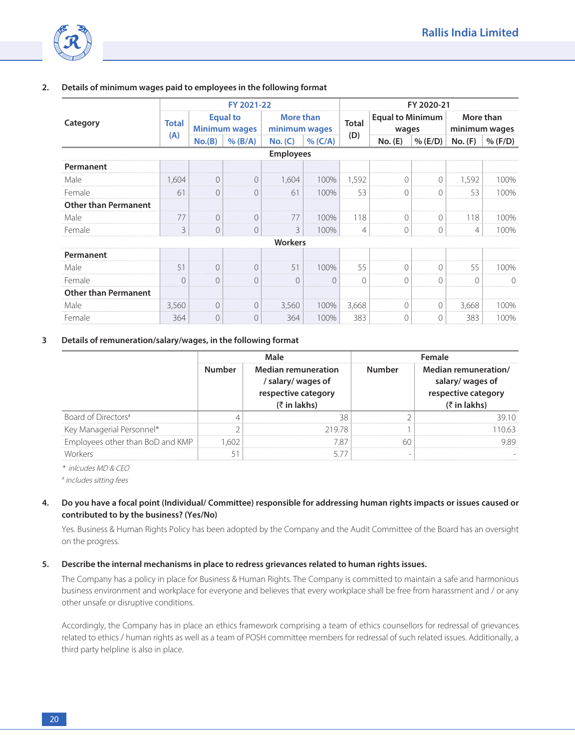

|                             |              |           | FY 2021-22                              |                                   |          | FY 2020-21   |                                  |            |         |                            |
|-----------------------------|--------------|-----------|-----------------------------------------|-----------------------------------|----------|--------------|----------------------------------|------------|---------|----------------------------|
| Category                    | <b>Total</b> |           | <b>Equal to</b><br><b>Minimum wages</b> | <b>More than</b><br>minimum wages |          | <b>Total</b> | <b>Equal to Minimum</b><br>wages |            |         | More than<br>minimum wages |
|                             | (A)          | No.(B)    | $%$ (B/A)                               | No. (C)                           | % (C/A)  | (D)          | No. (E)                          | $%$ (E/D)  | No. (F) | % (F/D)                    |
|                             |              |           |                                         | <b>Employees</b>                  |          |              |                                  |            |         |                            |
| Permanent                   |              |           |                                         |                                   |          |              |                                  |            |         |                            |
| Male                        | 1,604        | $\Omega$  | $\Omega$                                | 1,604                             | 100%     | 1,592        | $\Omega$                         | $\Omega$   | 1,592   | 100%                       |
| Female                      | 61           | $\Omega$  | $\Omega$                                | 61                                | 100%     | 53           | $\bigcap$                        | $\Omega$   | 53      | 100%                       |
| <b>Other than Permanent</b> |              |           |                                         |                                   |          |              |                                  |            |         |                            |
| Male                        | 77           | $\Omega$  | 0                                       | 77                                | 100%     | 118          | $\Omega$                         | $\Omega$   | 118     | 100%                       |
| Female                      | 3            | $\Omega$  | $\Omega$                                | 3                                 | 100%     | 4            | $\bigcirc$                       | $\bigcirc$ | 4       | 100%                       |
|                             |              |           |                                         | Workers                           |          |              |                                  |            |         |                            |
| Permanent                   |              |           |                                         |                                   |          |              |                                  |            |         |                            |
| Male                        | 51           | $\bigcap$ | $\bigcap$                               | 51                                | 100%     | 55           | $\bigcap$                        | $\Omega$   | 55      | 100%                       |
| Female                      | $\Omega$     | $\cap$    | $\Omega$                                | $\cap$                            | $\Omega$ | $\cap$       | $\Omega$                         | $\cap$     | $\cap$  | $\Omega$                   |
| <b>Other than Permanent</b> |              |           |                                         |                                   |          |              |                                  |            |         |                            |
| Male                        | 3,560        | $\bigcap$ | $\Omega$                                | 3,560                             | 100%     | 3,668        | $\Omega$                         | $\bigcap$  | 3,668   | 100%                       |
| Female                      | 364          | $\Omega$  | $\Omega$                                | 364                               | 100%     | 383          | $\Omega$                         | $\Omega$   | 383     | 100%                       |

#### **2. Details of minimum wages paid to employees in the following format**

#### **3 Details of remuneration/salary/wages, in the following format**

|                                  |        | Male                                                                                                   |              | Female                                                                             |
|----------------------------------|--------|--------------------------------------------------------------------------------------------------------|--------------|------------------------------------------------------------------------------------|
|                                  | Number | <b>Median remuneration</b><br>/ salary/ wages of<br>respective category<br>$(3\overline{5})$ in lakhs) | <b>Imber</b> | Median remuneration/<br>salary/ wages of<br>respective category<br>$($ ₹ in lakhs) |
| Board of Directors <sup>#</sup>  |        |                                                                                                        |              |                                                                                    |
| Key Managerial Personnel*        |        | 21978                                                                                                  |              | 0 63                                                                               |
| Employees other than BoD and KMP | GΩ     |                                                                                                        |              |                                                                                    |
| <i>Morkers</i>                   |        |                                                                                                        |              |                                                                                    |

\* inlcudes MD & CEO

# includes sitting fees

**4. Do you have a focal point (Individual/ Committee) responsible for addressing human rights impacts or issues caused or contributed to by the business? (Yes/No)**

 Yes. Business & Human Rights Policy has been adopted by the Company and the Audit Committee of the Board has an oversight on the progress.

#### **5. Describe the internal mechanisms in place to redress grievances related to human rights issues.**

 The Company has a policy in place for Business & Human Rights. The Company is committed to maintain a safe and harmonious business environment and workplace for everyone and believes that every workplace shall be free from harassment and / or any other unsafe or disruptive conditions.

 Accordingly, the Company has in place an ethics framework comprising a team of ethics counsellors for redressal of grievances related to ethics / human rights as well as a team of POSH committee members for redressal of such related issues. Additionally, a third party helpline is also in place.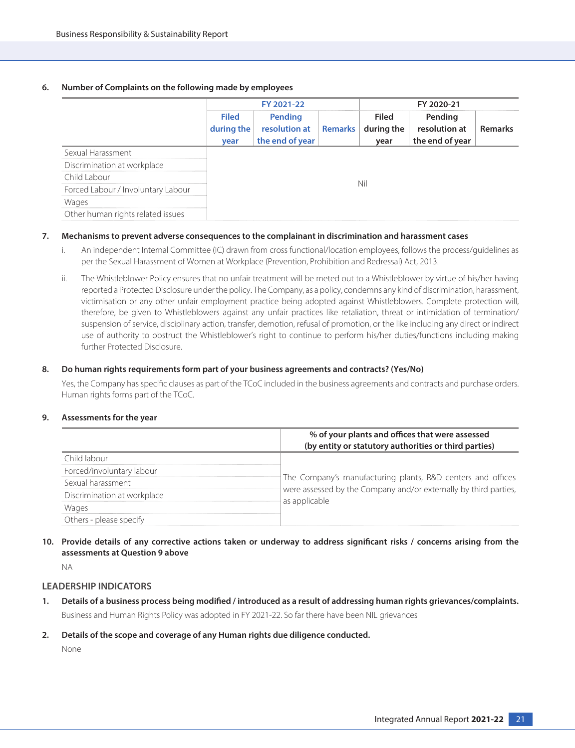## **6. Number of Complaints on the following made by employees**

|                                    |                                    | FY 2021-22                                              |  |                             | FY 2020-21                                  |         |  |
|------------------------------------|------------------------------------|---------------------------------------------------------|--|-----------------------------|---------------------------------------------|---------|--|
|                                    | <b>Filed</b><br>during the<br>year | Pending<br>resolution at   Remarks  <br>the end of year |  | Filed<br>during the<br>year | Pending<br>resolution at<br>the end of year | Remarks |  |
| Sexual Harassment                  |                                    |                                                         |  |                             |                                             |         |  |
| Discrimination at workplace        |                                    |                                                         |  |                             |                                             |         |  |
| Child Labour                       |                                    |                                                         |  |                             |                                             |         |  |
| Forced Labour / Involuntary Labour |                                    |                                                         |  |                             |                                             |         |  |
| Wages                              |                                    |                                                         |  |                             |                                             |         |  |
| Other human rights related issues  |                                    |                                                         |  |                             |                                             |         |  |

#### **7. Mechanisms to prevent adverse consequences to the complainant in discrimination and harassment cases**

- i. An independent Internal Committee (IC) drawn from cross functional/location employees, follows the process/guidelines as per the Sexual Harassment of Women at Workplace (Prevention, Prohibition and Redressal) Act, 2013.
- ii. The Whistleblower Policy ensures that no unfair treatment will be meted out to a Whistleblower by virtue of his/her having reported a Protected Disclosure under the policy. The Company, as a policy, condemns any kind of discrimination, harassment, victimisation or any other unfair employment practice being adopted against Whistleblowers. Complete protection will, therefore, be given to Whistleblowers against any unfair practices like retaliation, threat or intimidation of termination/ suspension of service, disciplinary action, transfer, demotion, refusal of promotion, or the like including any direct or indirect use of authority to obstruct the Whistleblower's right to continue to perform his/her duties/functions including making further Protected Disclosure.

#### **8. Do human rights requirements form part of your business agreements and contracts? (Yes/No)**

 Yes, the Company has specific clauses as part of the TCoC included in the business agreements and contracts and purchase orders. Human rights forms part of the TCoC.

#### **9. Assessments for the year**

|                             | % of your plants and offices that were assessed                  |
|-----------------------------|------------------------------------------------------------------|
|                             | (by entity or statutory authorities or third parties)            |
| `hild lah∩⊔r                |                                                                  |
| Forced/involuntary labour   |                                                                  |
| Sexual harassment           | The Company's manufacturing plants, R&D centers and offices      |
| Discrimination at workplace | were assessed by the Company and/or externally by third parties, |
| <b>Wages</b>                | as applicable                                                    |
| Others - please specify     |                                                                  |

**10. Provide details of any corrective actions taken or underway to address significant risks / concerns arising from the assessments at Question 9 above**

NA

#### **LEADERSHIP INDICATORS**

- **1. Details of a business process being modified / introduced as a result of addressing human rights grievances/complaints.** Business and Human Rights Policy was adopted in FY 2021-22. So far there have been NIL grievances
- **2. Details of the scope and coverage of any Human rights due diligence conducted.**

None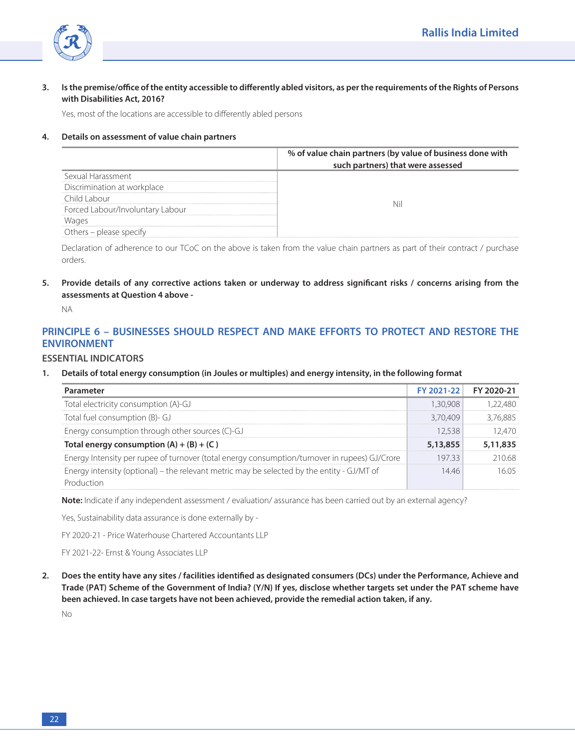

## **3. Is the premise/office of the entity accessible to differently abled visitors, as per the requirements of the Rights of Persons with Disabilities Act, 2016?**

Yes, most of the locations are accessible to differently abled persons

#### **4. Details on assessment of value chain partners**

|                                  | % of value chain partners (by value of business done with |
|----------------------------------|-----------------------------------------------------------|
|                                  | such partners) that were assessed                         |
|                                  |                                                           |
| Discrimination at workplace      |                                                           |
|                                  |                                                           |
| Forced Labour/Involuntary Labour |                                                           |
|                                  |                                                           |
| Others – please specify          |                                                           |

Declaration of adherence to our TCoC on the above is taken from the value chain partners as part of their contract / purchase orders.

**5. Provide details of any corrective actions taken or underway to address significant risks / concerns arising from the assessments at Question 4 above -**

NA

## **PRINCIPLE 6 – BUSINESSES SHOULD RESPECT AND MAKE EFFORTS TO PROTECT AND RESTORE THE ENVIRONMENT**

## **ESSENTIAL INDICATORS**

**1. Details of total energy consumption (in Joules or multiples) and energy intensity, in the following format**

| Parameter                                                                                                |          | FY 2021-22 FY 2020-21 |
|----------------------------------------------------------------------------------------------------------|----------|-----------------------|
| Total electricity consumption (A)-GJ                                                                     | -30.908  |                       |
| Total fuel consumption (B)- GJ                                                                           | 3.70.409 |                       |
| Energy consumption through other sources (C)-GJ                                                          | 2.538    |                       |
| Total energy consumption $(A) + (B) + (C)$                                                               | 5,13,855 | 5,11,835              |
| Energy Intensity per rupee of turnover (total energy consumption/turnover in rupees) GJ/Crore            | 19733    | 1068                  |
| Energy intensity (optional) – the relevant metric may be selected by the entity - GJ/MT of<br>Production | 446      |                       |

**Note:** Indicate if any independent assessment / evaluation/ assurance has been carried out by an external agency?

Yes, Sustainability data assurance is done externally by -

FY 2020-21 - Price Waterhouse Chartered Accountants LLP

FY 2021-22- Ernst & Young Associates LLP

**2. Does the entity have any sites / facilities identified as designated consumers (DCs) under the Performance, Achieve and Trade (PAT) Scheme of the Government of India? (Y/N) If yes, disclose whether targets set under the PAT scheme have been achieved. In case targets have not been achieved, provide the remedial action taken, if any.**

No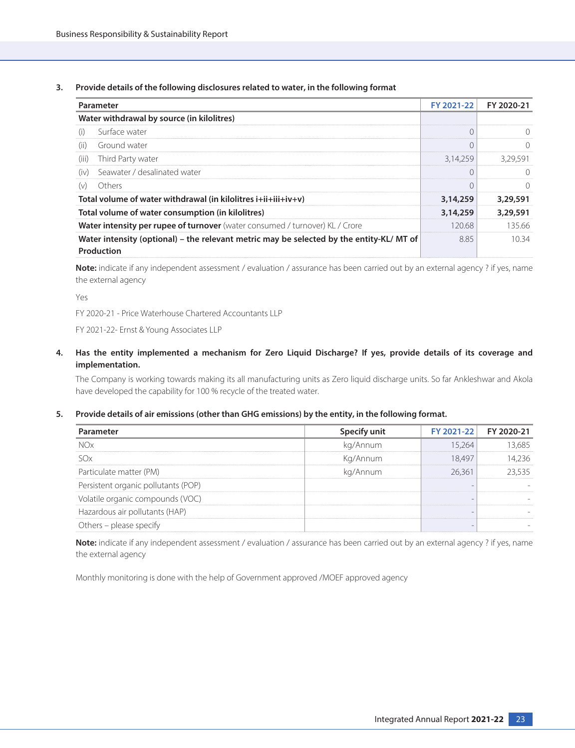**3. Provide details of the following disclosures related to water, in the following format**

|       | Parameter                                                                                             | FY 2021-22 | FY 2020-21 |
|-------|-------------------------------------------------------------------------------------------------------|------------|------------|
|       | Water withdrawal by source (in kilolitres)                                                            |            |            |
| (i)   | Surface water                                                                                         |            |            |
| (ii)  | Ground water                                                                                          |            |            |
| (iii) | Third Party water                                                                                     | 3.14.259   | 3.29.591   |
| (iv)  | Seawater / desalinated water                                                                          |            |            |
| (v)   | Others                                                                                                |            |            |
|       | Total volume of water withdrawal (in kilolitres $i+ii+iii+iv+v$ )                                     | 3,14,259   | 3,29,591   |
|       | Total volume of water consumption (in kilolitres)                                                     | 3,14,259   | 3,29,591   |
|       | <b>Water intensity per rupee of turnover</b> (water consumed / turnover) KL / Crore                   | 120.68     | 135.66     |
|       | Water intensity (optional) – the relevant metric may be selected by the entity-KL/MT of<br>Production | 885        | 10 34      |

**Note:** indicate if any independent assessment / evaluation / assurance has been carried out by an external agency ? if yes, name the external agency

Yes

FY 2020-21 - Price Waterhouse Chartered Accountants LLP

FY 2021-22- Ernst & Young Associates LLP

**4. Has the entity implemented a mechanism for Zero Liquid Discharge? If yes, provide details of its coverage and implementation.**

 The Company is working towards making its all manufacturing units as Zero liquid discharge units. So far Ankleshwar and Akola have developed the capability for 100 % recycle of the treated water.

#### **5. Provide details of air emissions (other than GHG emissions) by the entity, in the following format.**

| Parameter                           |          | FY 2021-22 FY 2020-21 |
|-------------------------------------|----------|-----------------------|
|                                     | ka/Annum |                       |
|                                     | Kg/Annum |                       |
| Particulate matter (PM)             | ka/Annum |                       |
| Persistent organic pollutants (POP) |          |                       |
| Volatile organic compounds (VOC)    |          |                       |
| Hazardous air pollutants (HAP)      |          |                       |
| ( )thers – please spec              |          |                       |

**Note:** indicate if any independent assessment / evaluation / assurance has been carried out by an external agency? if yes, name the external agency

Monthly monitoring is done with the help of Government approved /MOEF approved agency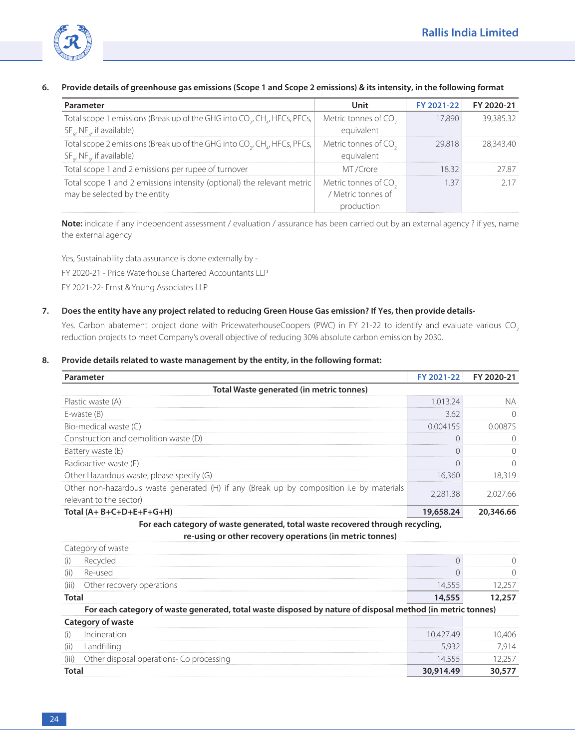

## **6. Provide details of greenhouse gas emissions (Scope 1 and Scope 2 emissions) & its intensity, in the following format**

| Parameter                                                                                         | Unit                             | FY 2021-22 | FY 2020-21 |
|---------------------------------------------------------------------------------------------------|----------------------------------|------------|------------|
| Total scope 1 emissions (Break up of the GHG into CO <sub>2</sub> , CH <sub>4</sub> , HFCs, PFCs, | Metric tonnes of CO.             | 17.890     | 39,385.32  |
| $SF_{c}$ , NF <sub>2</sub> , if available)                                                        | equivalent                       |            |            |
| Total scope 2 emissions (Break up of the GHG into CO <sub>2</sub> , CH <sub>a</sub> , HFCs, PFCs, | Metric tonnes of CO <sub>2</sub> | 29.818     | 28.343.40  |
| $SF_{\epsilon}$ , NF <sub>2</sub> , if available)                                                 | equivalent                       |            |            |
| Total scope 1 and 2 emissions per rupee of turnover                                               | MT/Crore                         | 832        |            |
| Total scope 1 and 2 emissions intensity (optional) the relevant metric                            | Metric tonnes of CO.             | 137        |            |
| may be selected by the entity                                                                     | / Metric tonnes of               |            |            |
|                                                                                                   | production                       |            |            |

 **Note:** indicate if any independent assessment / evaluation / assurance has been carried out by an external agency ? if yes, name the external agency

Yes, Sustainability data assurance is done externally by - FY 2020-21 - Price Waterhouse Chartered Accountants LLP FY 2021-22- Ernst & Young Associates LLP

## **7. Does the entity have any project related to reducing Green House Gas emission? If Yes, then provide details-**

Yes. Carbon abatement project done with PricewaterhouseCoopers (PWC) in FY 21-22 to identify and evaluate various CO<sub>2</sub> reduction projects to meet Company's overall objective of reducing 30% absolute carbon emission by 2030.

#### **8. Provide details related to waste management by the entity, in the following format:**

| Parameter                                                                                                           | FY 2021-22 | FY 2020-21 |
|---------------------------------------------------------------------------------------------------------------------|------------|------------|
| Total Waste generated (in metric tonnes)                                                                            |            |            |
| Plastic waste (A)                                                                                                   | 1,013.24   | NА         |
| E-waste (B)                                                                                                         | 3.62       | $\bigcap$  |
| Bio-medical waste (C)                                                                                               | 0.004155   | 0.00875    |
| Construction and demolition waste (D)                                                                               | 0          | $\left($   |
| Battery waste (E)                                                                                                   | 0          | $\bigcap$  |
| Radioactive waste (F)                                                                                               | $\Omega$   | $\Omega$   |
| Other Hazardous waste, please specify (G)                                                                           | 16,360     | 18,319     |
| Other non-hazardous waste generated (H) if any (Break up by composition i.e by materials<br>relevant to the sector) | 2,281.38   | 2,027.66   |
| Total $(A + B + C + D + E + F + G + H)$                                                                             | 19,658.24  | 20,346.66  |
| For each category of waste generated, total waste recovered through recycling,                                      |            |            |
| re-using or other recovery operations (in metric tonnes)                                                            |            |            |
| Category of waste                                                                                                   |            |            |
| Recycled<br>(i)                                                                                                     | 0          | $\left($   |
| Re-used<br>(ii)                                                                                                     | $\Omega$   | $\bigcap$  |
| Other recovery operations<br>(iii)                                                                                  | 14,555     | 12,257     |
| <b>Total</b>                                                                                                        | 14,555     | 12,257     |
| For each category of waste generated, total waste disposed by nature of disposal method (in metric tonnes)          |            |            |
| Category of waste                                                                                                   |            |            |
| Incineration<br>(i)                                                                                                 | 10,427.49  | 10,406     |
| Landfilling<br>(ii)                                                                                                 | 5,932      | 7,914      |
| Other disposal operations- Co processing<br>(iii)                                                                   | 14,555     | 12,257     |
| <b>Total</b>                                                                                                        | 30,914.49  | 30,577     |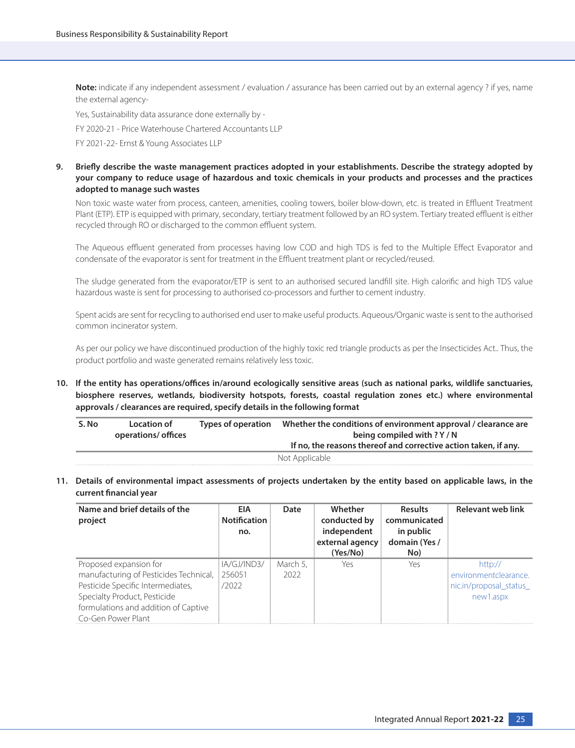**Note:** indicate if any independent assessment / evaluation / assurance has been carried out by an external agency? if yes, name the external agency-

Yes, Sustainability data assurance done externally by -

FY 2020-21 - Price Waterhouse Chartered Accountants LLP

FY 2021-22- Ernst & Young Associates LLP

## **9. Briefly describe the waste management practices adopted in your establishments. Describe the strategy adopted by your company to reduce usage of hazardous and toxic chemicals in your products and processes and the practices adopted to manage such wastes**

 Non toxic waste water from process, canteen, amenities, cooling towers, boiler blow-down, etc. is treated in Effluent Treatment Plant (ETP). ETP is equipped with primary, secondary, tertiary treatment followed by an RO system. Tertiary treated effluent is either recycled through RO or discharged to the common effluent system.

 The Aqueous effluent generated from processes having low COD and high TDS is fed to the Multiple Effect Evaporator and condensate of the evaporator is sent for treatment in the Effluent treatment plant or recycled/reused.

 The sludge generated from the evaporator/ETP is sent to an authorised secured landfill site. High calorific and high TDS value hazardous waste is sent for processing to authorised co-processors and further to cement industry.

 Spent acids are sent for recycling to authorised end user to make useful products. Aqueous/Organic waste is sent to the authorised common incinerator system.

 As per our policy we have discontinued production of the highly toxic red triangle products as per the Insecticides Act.. Thus, the product portfolio and waste generated remains relatively less toxic.

**10. If the entity has operations/offices in/around ecologically sensitive areas (such as national parks, wildlife sanctuaries, biosphere reserves, wetlands, biodiversity hotspots, forests, coastal regulation zones etc.) where environmental approvals / clearances are required, specify details in the following format**

| S. No | <b>Location of</b><br>operations/ offices | Types of operation | Whether the conditions of environment approval / clearance are<br>being compiled with ? Y / N<br>If no, the reasons thereof and corrective action taken, if any. |
|-------|-------------------------------------------|--------------------|------------------------------------------------------------------------------------------------------------------------------------------------------------------|
|       |                                           |                    | Not Applicable                                                                                                                                                   |

**11. Details of environmental impact assessments of projects undertaken by the entity based on applicable laws, in the current financial year**

| Name and brief details of the<br>project | EIA<br><b>Notification</b><br>no. | Date     | Whether<br>conducted by<br>independent<br>external agency<br>(Yes/No) | <b>Results</b><br>communicated<br>in public<br>domain (Yes /<br>No) | <b>Relevant web link</b> |
|------------------------------------------|-----------------------------------|----------|-----------------------------------------------------------------------|---------------------------------------------------------------------|--------------------------|
| Proposed expansion for                   | IA/GJ/IND3/                       | March 5. | Yes                                                                   | Yes                                                                 | http://                  |
| manufacturing of Pesticides Technical,   | 256051                            | 2022     |                                                                       |                                                                     | environmentclearance.    |
| Pesticide Specific Intermediates,        | 12022                             |          |                                                                       |                                                                     | nic.in/proposal status   |
| Specialty Product, Pesticide             |                                   |          |                                                                       |                                                                     | new1.aspx                |
| formulations and addition of Captive     |                                   |          |                                                                       |                                                                     |                          |
| Co-Gen Power Plant                       |                                   |          |                                                                       |                                                                     |                          |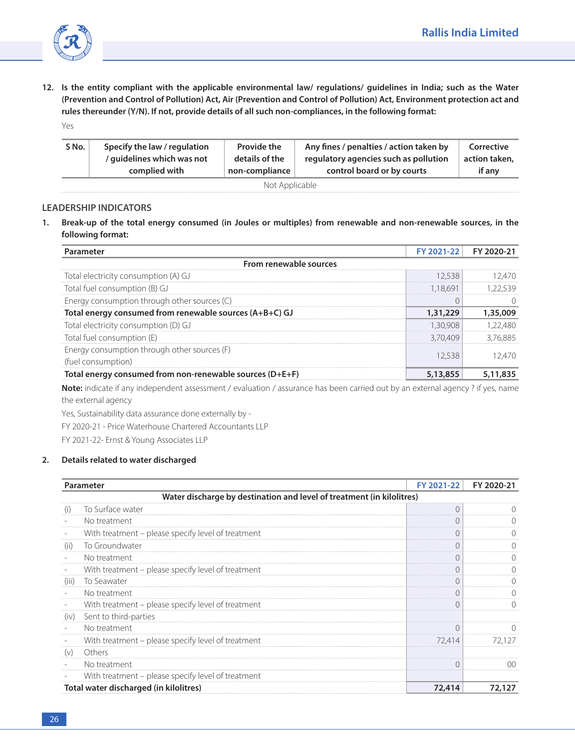

**12. Is the entity compliant with the applicable environmental law/ regulations/ guidelines in India; such as the Water (Prevention and Control of Pollution) Act, Air (Prevention and Control of Pollution) Act, Environment protection act and rules thereunder (Y/N). If not, provide details of all such non-compliances, in the following format:** Yes

| S No.          | Specify the law / regulation | <b>Provide the</b> | Any fines / penalties / action taken by | Corrective    |  |
|----------------|------------------------------|--------------------|-----------------------------------------|---------------|--|
|                | / quidelines which was not   | details of the     | regulatory agencies such as pollution   | action taken, |  |
|                | complied with                | non-compliance     | control board or by courts              | if any        |  |
| Not Applicable |                              |                    |                                         |               |  |

## **LEADERSHIP INDICATORS**

**1. Break-up of the total energy consumed (in Joules or multiples) from renewable and non-renewable sources, in the following format:**

| Parameter                                                          | FY 2021-22 FY 2020-21 |          |  |  |  |
|--------------------------------------------------------------------|-----------------------|----------|--|--|--|
| From renewable sources                                             |                       |          |  |  |  |
| Total electricity consumption (A) GJ                               | 2.538                 |          |  |  |  |
| Total fuel consumption (B) GJ                                      | 1.18.691              |          |  |  |  |
| Energy consumption through other sources (C)                       |                       |          |  |  |  |
| Total energy consumed from renewable sources (A+B+C) GJ            | 1,31,229              | 1,35,009 |  |  |  |
| Total electricity consumption (D) GJ                               | 30.908                |          |  |  |  |
| Total fuel consumption (E)                                         | 3.70.409              | 3.76.885 |  |  |  |
| Energy consumption through other sources (F)<br>(fuel consumption) | 2.538                 |          |  |  |  |
| Total energy consumed from non-renewable sources (D+E+F)           | 5,13,855              |          |  |  |  |

 **Note:** indicate if any independent assessment / evaluation / assurance has been carried out by an external agency ? if yes, name the external agency

Yes, Sustainability data assurance done externally by -

FY 2020-21 - Price Waterhouse Chartered Accountants LLP

FY 2021-22- Ernst & Young Associates LLP

#### **2. Details related to water discharged**

|                 | Parameter                                                             | FY 2021-22 | FY 2020-21 |
|-----------------|-----------------------------------------------------------------------|------------|------------|
|                 | Water discharge by destination and level of treatment (in kilolitres) |            |            |
| (i)             | To Surface water                                                      |            |            |
|                 | No treatment                                                          |            |            |
|                 | With treatment – please specify level of treatment                    |            |            |
| (11)            | To Groundwater                                                        | €          |            |
|                 | No treatment                                                          | (          |            |
|                 | With treatment - please specify level of treatment                    | C          |            |
| $(\mathbf{ii})$ | To Seawater                                                           | (          |            |
|                 | No treatment                                                          | $\cup$     |            |
|                 | With treatment - please specify level of treatment                    | 0          |            |
| (iv)            | Sent to third-parties                                                 |            |            |
|                 | No treatment                                                          | 0          |            |
|                 | With treatment – please specify level of treatment                    | 72,414     | 72.127     |
| (v)             | Others                                                                |            |            |
|                 | No treatment                                                          |            | ററ         |
|                 | With treatment – please specify level of treatment                    |            |            |
|                 | Total water discharged (in kilolitres)                                | 72,414     | 72,127     |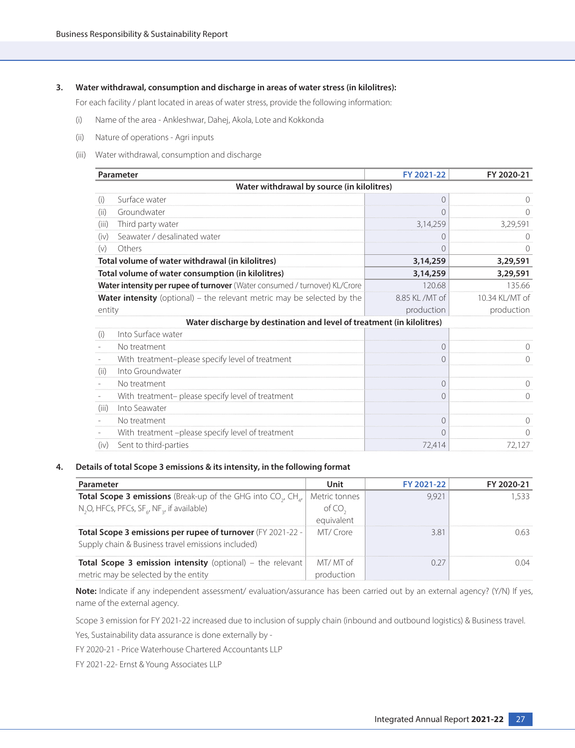#### **3. Water withdrawal, consumption and discharge in areas of water stress (in kilolitres):**

For each facility / plant located in areas of water stress, provide the following information:

- (i) Name of the area Ankleshwar, Dahej, Akola, Lote and Kokkonda
- (ii) Nature of operations Agri inputs
- (iii) Water withdrawal, consumption and discharge

| Parameter                                                                      | FY 2021-22       | FY 2020-21     |
|--------------------------------------------------------------------------------|------------------|----------------|
| Water withdrawal by source (in kilolitres)                                     |                  |                |
| Surface water<br>(i)                                                           | $\left( \right)$ |                |
| Groundwater<br>(ii)                                                            | $\Omega$         | 0              |
| Third party water<br>(iii)                                                     | 3,14,259         | 3,29,591       |
| Seawater / desalinated water<br>(iv)                                           | $\bigcap$        |                |
| (v)<br>Others                                                                  | 0                |                |
| Total volume of water withdrawal (in kilolitres)                               | 3,14,259         | 3,29,591       |
| Total volume of water consumption (in kilolitres)                              | 3,14,259         | 3,29,591       |
| Water intensity per rupee of turnover (Water consumed / turnover) KL/Crore     | 120.68           | 135.66         |
| <b>Water intensity</b> (optional) – the relevant metric may be selected by the | 8.85 KL / MT of  | 10.34 KL/MT of |
| entity                                                                         | production       | production     |
| Water discharge by destination and level of treatment (in kilolitres)          |                  |                |
| Into Surface water<br>(i)                                                      |                  |                |
| No treatment                                                                   |                  |                |
| With treatment-please specify level of treatment                               | 0                | $\bigcap$      |
| Into Groundwater<br>(ii)                                                       |                  |                |
| No treatment                                                                   | $\Omega$         |                |
| With treatment- please specify level of treatment                              | $\bigcap$        | 0              |
| Into Seawater<br>(iii)                                                         |                  |                |
| No treatment                                                                   | 0                |                |
| With treatment -please specify level of treatment                              | $\bigcap$        | Ω              |
| Sent to third-parties<br>(iv)                                                  | 72,414           | 72,127         |

#### **4. Details of total Scope 3 emissions & its intensity, in the following format**

| Parameter                                                                                     | Unit          | FY 2021-22 | FY 2020-21 |
|-----------------------------------------------------------------------------------------------|---------------|------------|------------|
| <b>Total Scope 3 emissions</b> (Break-up of the GHG into CO <sub>y</sub> , CH <sub>at</sub> ) | Metric tonnes |            |            |
| N <sub>2</sub> O, HFCs, PFCs, SF <sub>6</sub> , NF <sub>3</sub> , if available)               |               |            |            |
|                                                                                               | eguivalent    |            |            |
| Total Scope 3 emissions per rupee of turnover (FY 2021-22 -                                   | MT/Crore      | 3 R 1      |            |
| Supply chain & Business travel emissions included)                                            |               |            |            |
| <b>Total Scope 3 emission intensity</b> (optional) – the relevant                             | MT/ MT of     |            |            |
| metric may be selected by the entity                                                          |               |            |            |

**Note:** Indicate if any independent assessment/ evaluation/assurance has been carried out by an external agency? (Y/N) If yes, name of the external agency.

Scope 3 emission for FY 2021-22 increased due to inclusion of supply chain (inbound and outbound logistics) & Business travel.

Yes, Sustainability data assurance is done externally by -

FY 2020-21 - Price Waterhouse Chartered Accountants LLP

FY 2021-22- Ernst & Young Associates LLP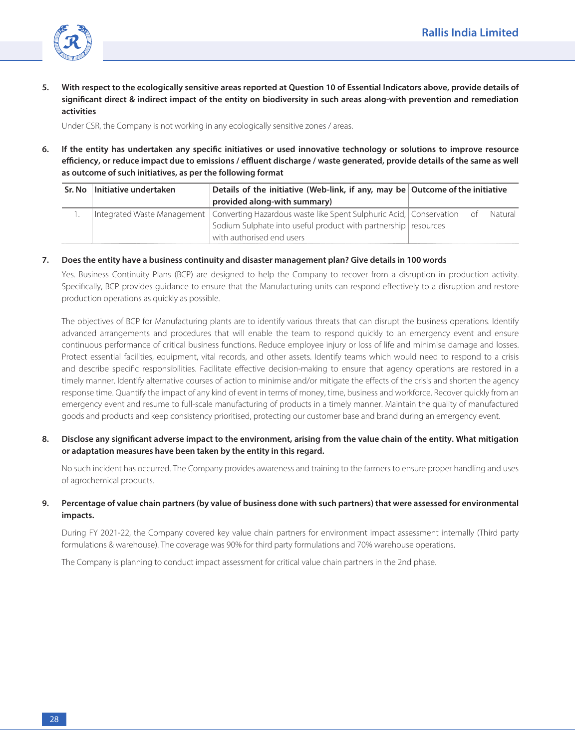

**5. With respect to the ecologically sensitive areas reported at Question 10 of Essential Indicators above, provide details of significant direct & indirect impact of the entity on biodiversity in such areas along-with prevention and remediation activities**

Under CSR, the Company is not working in any ecologically sensitive zones / areas.

**6. If the entity has undertaken any specific initiatives or used innovative technology or solutions to improve resource efficiency, or reduce impact due to emissions / effluent discharge / waste generated, provide details of the same as well as outcome of such initiatives, as per the following format**

| Sr. No | Initiative undertaken | Details of the initiative (Web-link, if any, may be Outcome of the initiative                                 |  |
|--------|-----------------------|---------------------------------------------------------------------------------------------------------------|--|
|        |                       | provided along-with summary)                                                                                  |  |
|        |                       | Integrated Waste Management   Converting Hazardous waste like Spent Sulphuric Acid,   Conservation of Natural |  |
|        |                       | Sodium Sulphate into useful product with partnership resources                                                |  |
|        |                       | with authorised end users                                                                                     |  |

#### **7. Does the entity have a business continuity and disaster management plan? Give details in 100 words**

Yes. Business Continuity Plans (BCP) are designed to help the Company to recover from a disruption in production activity. Specifically, BCP provides guidance to ensure that the Manufacturing units can respond effectively to a disruption and restore production operations as quickly as possible.

 The objectives of BCP for Manufacturing plants are to identify various threats that can disrupt the business operations. Identify advanced arrangements and procedures that will enable the team to respond quickly to an emergency event and ensure continuous performance of critical business functions. Reduce employee injury or loss of life and minimise damage and losses. Protect essential facilities, equipment, vital records, and other assets. Identify teams which would need to respond to a crisis and describe specific responsibilities. Facilitate effective decision-making to ensure that agency operations are restored in a timely manner. Identify alternative courses of action to minimise and/or mitigate the effects of the crisis and shorten the agency response time. Quantify the impact of any kind of event in terms of money, time, business and workforce. Recover quickly from an emergency event and resume to full-scale manufacturing of products in a timely manner. Maintain the quality of manufactured goods and products and keep consistency prioritised, protecting our customer base and brand during an emergency event.

**8. Disclose any significant adverse impact to the environment, arising from the value chain of the entity. What mitigation or adaptation measures have been taken by the entity in this regard.**

 No such incident has occurred. The Company provides awareness and training to the farmers to ensure proper handling and uses of agrochemical products.

#### **9. Percentage of value chain partners (by value of business done with such partners) that were assessed for environmental impacts.**

 During FY 2021-22, the Company covered key value chain partners for environment impact assessment internally (Third party formulations & warehouse). The coverage was 90% for third party formulations and 70% warehouse operations.

The Company is planning to conduct impact assessment for critical value chain partners in the 2nd phase.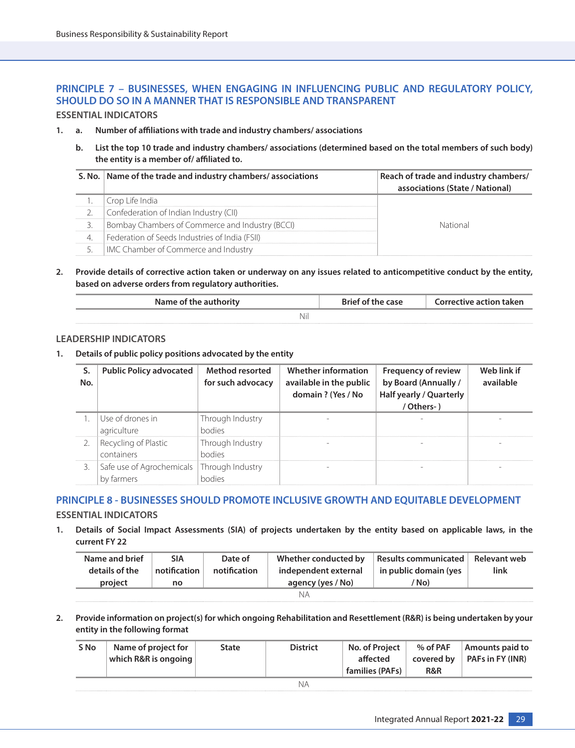## **PRINCIPLE 7 – BUSINESSES, WHEN ENGAGING IN INFLUENCING PUBLIC AND REGULATORY POLICY, SHOULD DO SO IN A MANNER THAT IS RESPONSIBLE AND TRANSPARENT**

## **ESSENTIAL INDICATORS**

- **1. a. Number of affiliations with trade and industry chambers/ associations**
	- **b. List the top 10 trade and industry chambers/ associations (determined based on the total members of such body) the entity is a member of/ affiliated to.**

| S. No.   Name of the trade and industry chambers/ associations | Reach of trade and industry chambers/<br>associations (State / National) |
|----------------------------------------------------------------|--------------------------------------------------------------------------|
| Crop Life India                                                |                                                                          |
| Confederation of Indian Industry (CII)                         |                                                                          |
| Bombay Chambers of Commerce and Industry (BCCI)                |                                                                          |
| Federation of Seeds Industries of India (FSII)                 |                                                                          |
| IMC Chamber of Commerce and Industry                           |                                                                          |

**2. Provide details of corrective action taken or underway on any issues related to anticompetitive conduct by the entity, based on adverse orders from regulatory authorities.**

| Name of the authority | Brief of the case | Corrective action taken |
|-----------------------|-------------------|-------------------------|
| Nil                   |                   |                         |

#### **LEADERSHIP INDICATORS**

**1. Details of public policy positions advocated by the entity**

| No. | <b>Public Policy advocated</b>                             | <b>Method resorted</b><br>for such advocacy | Whether information<br>available in the public<br>domain ? (Yes / No | <b>Frequency of review</b><br>by Board (Annually /<br><b>Half yearly / Quarterly</b><br>/ Others- ) | Web link if<br>available |
|-----|------------------------------------------------------------|---------------------------------------------|----------------------------------------------------------------------|-----------------------------------------------------------------------------------------------------|--------------------------|
|     | Use of drones in<br>agriculture                            | Through Industry<br>hodies                  |                                                                      |                                                                                                     |                          |
|     | Recycling of Plastic<br>containers                         | Through Industry<br>hodies                  |                                                                      |                                                                                                     |                          |
|     | Safe use of Agrochemicals   Through Industry<br>by farmers | hodiac                                      |                                                                      |                                                                                                     |                          |

## **PRINCIPLE 8 - BUSINESSES SHOULD PROMOTE INCLUSIVE GROWTH AND EQUITABLE DEVELOPMENT**

## **ESSENTIAL INDICATORS**

**1. Details of Social Impact Assessments (SIA) of projects undertaken by the entity based on applicable laws, in the current FY 22**

| Name and brief | <b>SIA</b>   | Date of      | Whether conducted by | <b>Results communicated</b> | Relevant web |
|----------------|--------------|--------------|----------------------|-----------------------------|--------------|
| details of the | notification | notification | independent external | in public domain (yes       | link         |
|                |              |              |                      |                             |              |
| project        | no           |              | agency (yes / No)    | 'No)                        |              |

**2. Provide information on project(s) for which ongoing Rehabilitation and Resettlement (R&R) is being undertaken by your entity in the following format**

| S No | Name of project for<br>which R&R is ongoing | State | <b>District</b> | No. of Project<br>affected<br>families (PAFs) | % of PAF<br>covered by<br>R&R | Amounts paid to<br>$\overline{P$ PAFs in FY (INR) |
|------|---------------------------------------------|-------|-----------------|-----------------------------------------------|-------------------------------|---------------------------------------------------|
|      |                                             |       | ΝA              |                                               |                               |                                                   |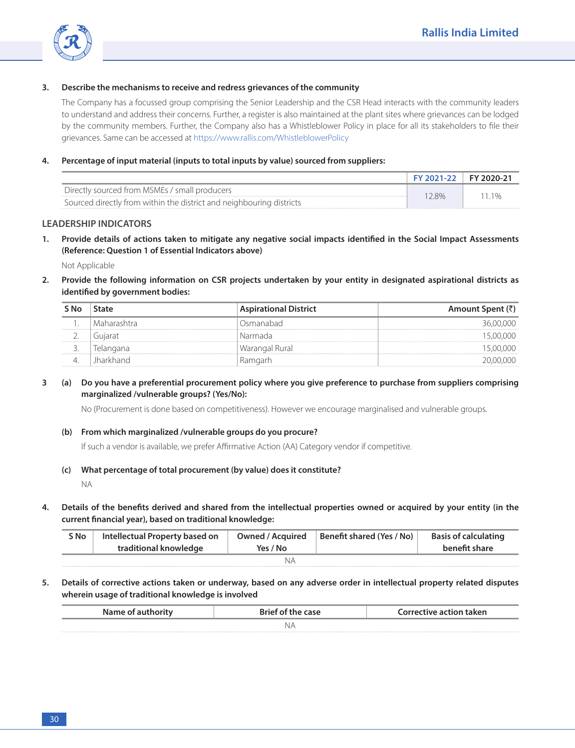

## **3. Describe the mechanisms to receive and redress grievances of the community**

 The Company has a focussed group comprising the Senior Leadership and the CSR Head interacts with the community leaders to understand and address their concerns. Further, a register is also maintained at the plant sites where grievances can be lodged by the community members. Further, the Company also has a Whistleblower Policy in place for all its stakeholders to file their grievances. Same can be accessed at [https://www.rallis.com/WhistleblowerPolicy](https://www.rallis.com/Upload/Content_Files/Whistleblower%20Policy2019.pdf)

#### **4. Percentage of input material (inputs to total inputs by value) sourced from suppliers:**

|                                                                      | FY 2021-22 FY 2020-21 |        |
|----------------------------------------------------------------------|-----------------------|--------|
| Directly sourced from MSMEs / small producers                        | 28%                   | $11\%$ |
| Sourced directly from within the district and neighbouring districts |                       |        |

#### **LEADERSHIP INDICATORS**

**1. Provide details of actions taken to mitigate any negative social impacts identified in the Social Impact Assessments (Reference: Question 1 of Essential Indicators above)**

Not Applicable

**2. Provide the following information on CSR projects undertaken by your entity in designated aspirational districts as identified by government bodies:**

| State       | <b>Aspirational District</b> | Amount Spent (₹) |
|-------------|------------------------------|------------------|
| Maharashtra | )smanabad                    |                  |
| Guiarat     | Narmada                      |                  |
| lelangana   | Warangal Rural               |                  |
| lharkhand   | maarl                        |                  |

## **3 (a) Do you have a preferential procurement policy where you give preference to purchase from suppliers comprising marginalized /vulnerable groups? (Yes/No):**

No (Procurement is done based on competitiveness). However we encourage marginalised and vulnerable groups.

#### **(b) From which marginalized /vulnerable groups do you procure?**

If such a vendor is available, we prefer Affirmative Action (AA) Category vendor if competitive.

**(c) What percentage of total procurement (by value) does it constitute?**

NA

**4. Details of the benefits derived and shared from the intellectual properties owned or acquired by your entity (in the current financial year), based on traditional knowledge:**

| S No | Intellectual Property based on<br>traditional knowledge | Owned / Acquired<br>Yes / No | Benefit shared (Yes / No) | <b>Basis of calculating</b><br>benefit share |
|------|---------------------------------------------------------|------------------------------|---------------------------|----------------------------------------------|
|      |                                                         |                              |                           |                                              |

**5. Details of corrective actions taken or underway, based on any adverse order in intellectual property related disputes wherein usage of traditional knowledge is involved**

| $N2^{n-1}$ | the case | Corrective action taken |  |  |  |
|------------|----------|-------------------------|--|--|--|
| IN A       |          |                         |  |  |  |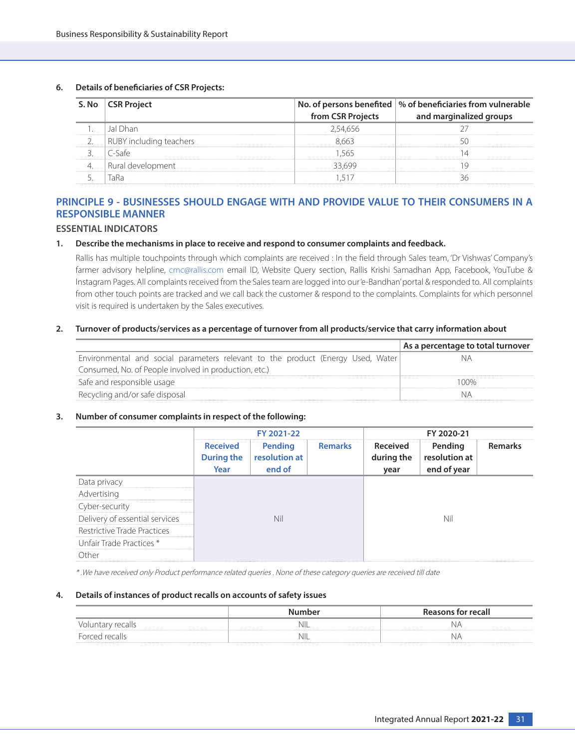#### **6. Details of beneficiaries of CSR Projects:**

|                             | S. No CSR Project       | from CSR Projects | No. of persons benefited   % of beneficiaries from vulnerable<br>and marginalized groups |
|-----------------------------|-------------------------|-------------------|------------------------------------------------------------------------------------------|
|                             | 1)han                   | 2.54.656          |                                                                                          |
| --------------------------- | RUBY including teachers |                   |                                                                                          |
|                             |                         |                   |                                                                                          |
|                             | Rural development       |                   |                                                                                          |
|                             |                         |                   |                                                                                          |

## **PRINCIPLE 9 - BUSINESSES SHOULD ENGAGE WITH AND PROVIDE VALUE TO THEIR CONSUMERS IN A RESPONSIBLE MANNER**

## **ESSENTIAL INDICATORS**

#### **1. Describe the mechanisms in place to receive and respond to consumer complaints and feedback.**

 Rallis has multiple touchpoints through which complaints are received : In the field through Sales team, 'Dr Vishwas' Company's farmer advisory helpline, cmc@rallis.com email ID, Website Query section, Rallis Krishi Samadhan App, Facebook, YouTube & Instagram Pages. All complaints received from the Sales team are logged into our 'e-Bandhan' portal & responded to. All complaints from other touch points are tracked and we call back the customer & respond to the complaints. Complaints for which personnel visit is required is undertaken by the Sales executives.

#### **2. Turnover of products/services as a percentage of turnover from all products/service that carry information about**

|                                                                                 | As a percentage to total turnover |
|---------------------------------------------------------------------------------|-----------------------------------|
| Environmental and social parameters relevant to the product (Energy Used, Water |                                   |
| Consumed, No. of People involved in production, etc.)                           |                                   |
| Safe and responsible usage                                                      |                                   |
| Recycling and/or safe disposal                                                  |                                   |

#### **3. Number of consumer complaints in respect of the following:**

|                                    | FY 2021-22                                   |                                    |                | FY 2020-21                     |                                         |                |
|------------------------------------|----------------------------------------------|------------------------------------|----------------|--------------------------------|-----------------------------------------|----------------|
|                                    | <b>Received</b><br><b>During the</b><br>Year | Pending<br>resolution at<br>end of | <b>Remarks</b> | Received<br>during the<br>year | Pending<br>resolution at<br>end of year | <b>Remarks</b> |
| Data privacy                       |                                              |                                    |                |                                |                                         |                |
| Advertising                        |                                              |                                    |                |                                |                                         |                |
| Cyber-security                     |                                              |                                    |                |                                |                                         |                |
| Delivery of essential services     | Nil                                          |                                    | Nil            |                                |                                         |                |
| <b>Restrictive Trade Practices</b> |                                              |                                    |                |                                |                                         |                |
| Unfair Trade Practices *           |                                              |                                    |                |                                |                                         |                |
| Other                              |                                              |                                    |                |                                |                                         |                |

\* .We have received only Product performance related queries . None of these category queries are received till date

#### **4. Details of instances of product recalls on accounts of safety issues**

|     | <b>Reasons for recall</b> |  |  |
|-----|---------------------------|--|--|
| nil |                           |  |  |
| nil | $\mathcal{N}$             |  |  |